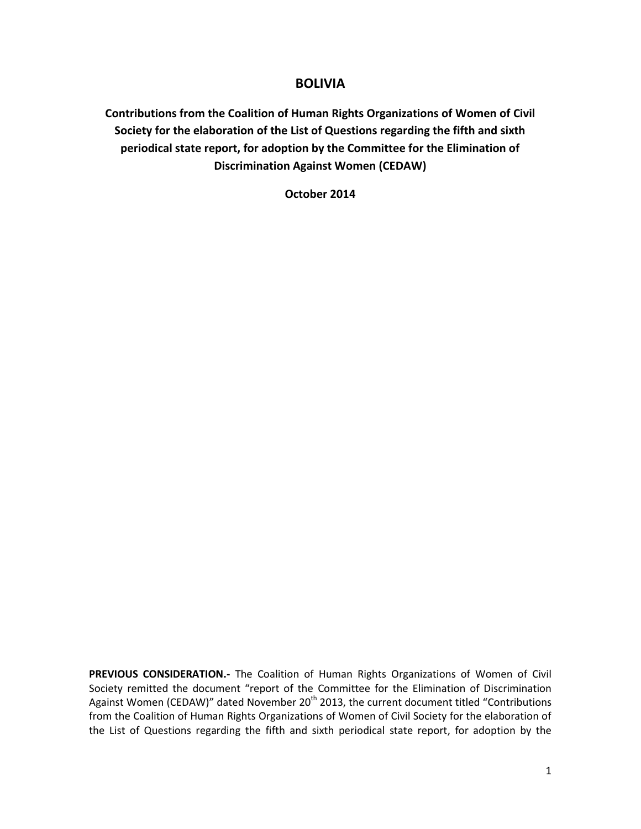# **BOLIVIA**

**Contributions from the Coalition of Human Rights Organizations of Women of Civil Society for the elaboration of the List of Questions regarding the fifth and sixth periodical state report, for adoption by the Committee for the Elimination of Discrimination Against Women (CEDAW)**

**October 2014**

PREVIOUS CONSIDERATION.- The Coalition of Human Rights Organizations of Women of Civil Society remitted the document "report of the Committee for the Elimination of Discrimination Against Women (CEDAW)" dated November 20<sup>th</sup> 2013, the current document titled "Contributions from the Coalition of Human Rights Organizations of Women of Civil Society for the elaboration of the List of Questions regarding the fifth and sixth periodical state report, for adoption by the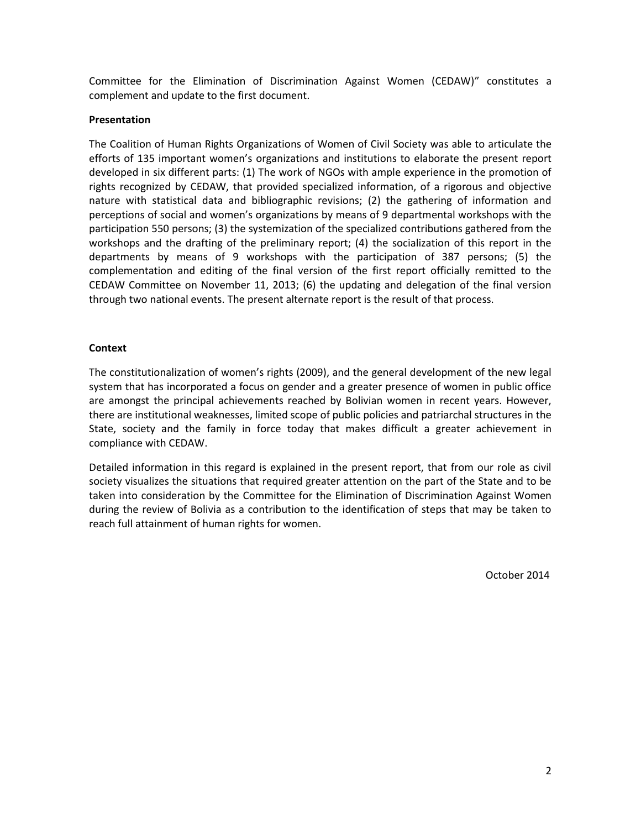Committee for the Elimination of Discrimination Against Women (CEDAW)" constitutes a complement and update to the first document.

# **Presentation**

The Coalition of Human Rights Organizations of Women of Civil Society was able to articulate the efforts of 135 important women's organizations and institutions to elaborate the present report developed in six different parts: (1) The work of NGOs with ample experience in the promotion of rights recognized by CEDAW, that provided specialized information, of a rigorous and objective nature with statistical data and bibliographic revisions; (2) the gathering of information and perceptions of social and women's organizations by means of 9 departmental workshops with the participation 550 persons; (3) the systemization of the specialized contributions gathered from the workshops and the drafting of the preliminary report; (4) the socialization of this report in the departments by means of 9 workshops with the participation of 387 persons; (5) the complementation and editing of the final version of the first report officially remitted to the CEDAW Committee on November 11, 2013; (6) the updating and delegation of the final version through two national events. The present alternate report is the result of that process.

# **Context**

The constitutionalization of women's rights (2009), and the general development of the new legal system that has incorporated a focus on gender and a greater presence of women in public office are amongst the principal achievements reached by Bolivian women in recent years. However, there are institutional weaknesses, limited scope of public policies and patriarchal structures in the State, society and the family in force today that makes difficult a greater achievement in compliance with CEDAW.

Detailed information in this regard is explained in the present report, that from our role as civil society visualizes the situations that required greater attention on the part of the State and to be taken into consideration by the Committee for the Elimination of Discrimination Against Women during the review of Bolivia as a contribution to the identification of steps that may be taken to reach full attainment of human rights for women.

October 2014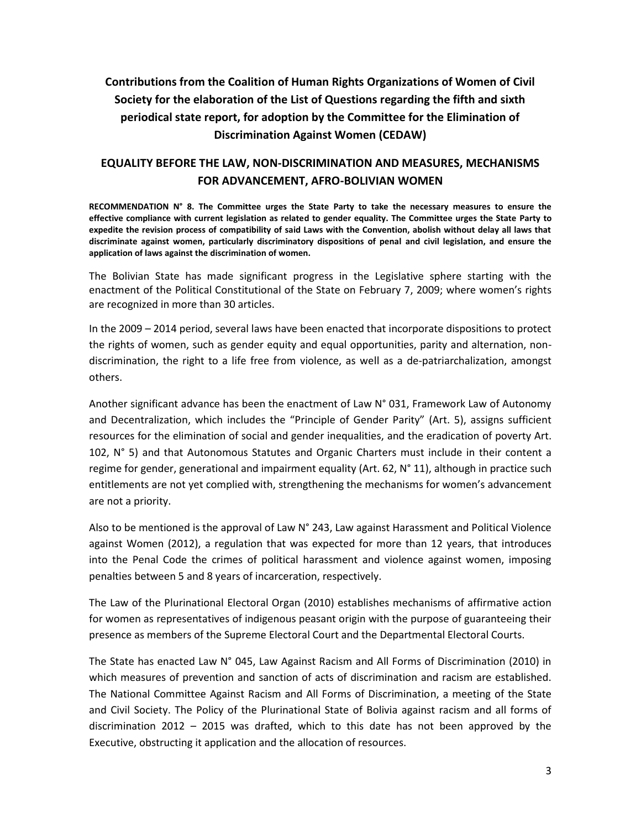# **Contributions from the Coalition of Human Rights Organizations of Women of Civil Society for the elaboration of the List of Questions regarding the fifth and sixth periodical state report, for adoption by the Committee for the Elimination of Discrimination Against Women (CEDAW)**

# **EQUALITY BEFORE THE LAW, NON-DISCRIMINATION AND MEASURES, MECHANISMS FOR ADVANCEMENT, AFRO-BOLIVIAN WOMEN**

**RECOMMENDATION N° 8. The Committee urges the State Party to take the necessary measures to ensure the effective compliance with current legislation as related to gender equality. The Committee urges the State Party to expedite the revision process of compatibility of said Laws with the Convention, abolish without delay all laws that discriminate against women, particularly discriminatory dispositions of penal and civil legislation, and ensure the application of laws against the discrimination of women.**

The Bolivian State has made significant progress in the Legislative sphere starting with the enactment of the Political Constitutional of the State on February 7, 2009; where women's rights are recognized in more than 30 articles.

In the 2009 – 2014 period, several laws have been enacted that incorporate dispositions to protect the rights of women, such as gender equity and equal opportunities, parity and alternation, nondiscrimination, the right to a life free from violence, as well as a de-patriarchalization, amongst others.

Another significant advance has been the enactment of Law N° 031, Framework Law of Autonomy and Decentralization, which includes the "Principle of Gender Parity" (Art. 5), assigns sufficient resources for the elimination of social and gender inequalities, and the eradication of poverty Art. 102, N° 5) and that Autonomous Statutes and Organic Charters must include in their content a regime for gender, generational and impairment equality (Art. 62,  $N^{\circ}$  11), although in practice such entitlements are not yet complied with, strengthening the mechanisms for women's advancement are not a priority.

Also to be mentioned is the approval of Law N° 243, Law against Harassment and Political Violence against Women (2012), a regulation that was expected for more than 12 years, that introduces into the Penal Code the crimes of political harassment and violence against women, imposing penalties between 5 and 8 years of incarceration, respectively.

The Law of the Plurinational Electoral Organ (2010) establishes mechanisms of affirmative action for women as representatives of indigenous peasant origin with the purpose of guaranteeing their presence as members of the Supreme Electoral Court and the Departmental Electoral Courts.

The State has enacted Law N° 045, Law Against Racism and All Forms of Discrimination (2010) in which measures of prevention and sanction of acts of discrimination and racism are established. The National Committee Against Racism and All Forms of Discrimination, a meeting of the State and Civil Society. The Policy of the Plurinational State of Bolivia against racism and all forms of discrimination 2012 – 2015 was drafted, which to this date has not been approved by the Executive, obstructing it application and the allocation of resources.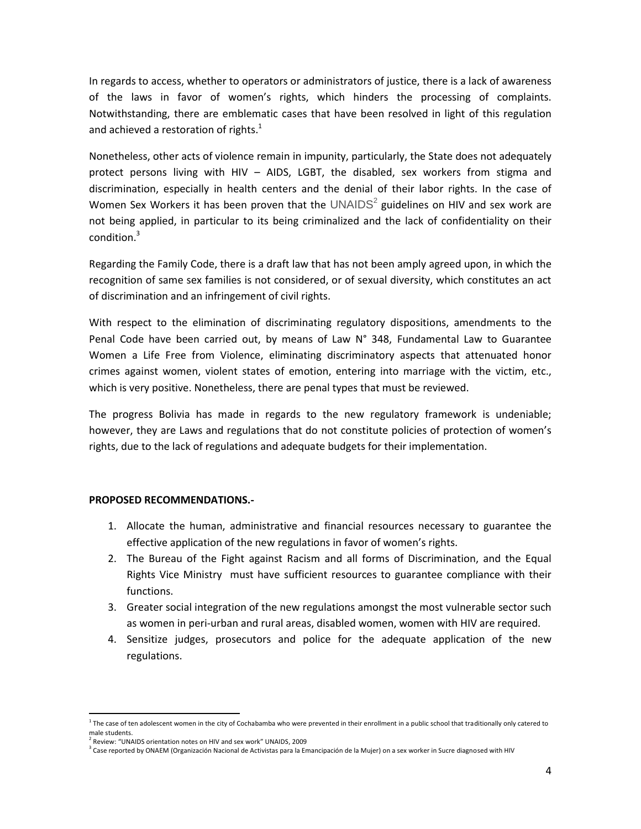In regards to access, whether to operators or administrators of justice, there is a lack of awareness of the laws in favor of women's rights, which hinders the processing of complaints. Notwithstanding, there are emblematic cases that have been resolved in light of this regulation and achieved a restoration of rights.<sup>1</sup>

Nonetheless, other acts of violence remain in impunity, particularly, the State does not adequately protect persons living with HIV – AIDS, LGBT, the disabled, sex workers from stigma and discrimination, especially in health centers and the denial of their labor rights. In the case of Women Sex Workers it has been proven that the  $UNAIDS<sup>2</sup>$  guidelines on HIV and sex work are not being applied, in particular to its being criminalized and the lack of confidentiality on their condition. 3

Regarding the Family Code, there is a draft law that has not been amply agreed upon, in which the recognition of same sex families is not considered, or of sexual diversity, which constitutes an act of discrimination and an infringement of civil rights.

With respect to the elimination of discriminating regulatory dispositions, amendments to the Penal Code have been carried out, by means of Law N° 348, Fundamental Law to Guarantee Women a Life Free from Violence, eliminating discriminatory aspects that attenuated honor crimes against women, violent states of emotion, entering into marriage with the victim, etc., which is very positive. Nonetheless, there are penal types that must be reviewed.

The progress Bolivia has made in regards to the new regulatory framework is undeniable; however, they are Laws and regulations that do not constitute policies of protection of women's rights, due to the lack of regulations and adequate budgets for their implementation.

# **PROPOSED RECOMMENDATIONS.-**

- 1. Allocate the human, administrative and financial resources necessary to guarantee the effective application of the new regulations in favor of women's rights.
- 2. The Bureau of the Fight against Racism and all forms of Discrimination, and the Equal Rights Vice Ministry must have sufficient resources to guarantee compliance with their functions.
- 3. Greater social integration of the new regulations amongst the most vulnerable sector such as women in peri-urban and rural areas, disabled women, women with HIV are required.
- 4. Sensitize judges, prosecutors and police for the adequate application of the new regulations.

 $\overline{a}$ 

 $1$  The case of ten adolescent women in the city of Cochabamba who were prevented in their enrollment in a public school that traditionally only catered to male students.

<sup>&</sup>lt;sup>2</sup> Review: "UNAIDS orientation notes on HIV and sex work" UNAIDS, 2009

<sup>&</sup>lt;sup>3</sup> Case reported by ONAEM (Organización Nacional de Activistas para la Emancipación de la Mujer) on a sex worker in Sucre diagnosed with HIV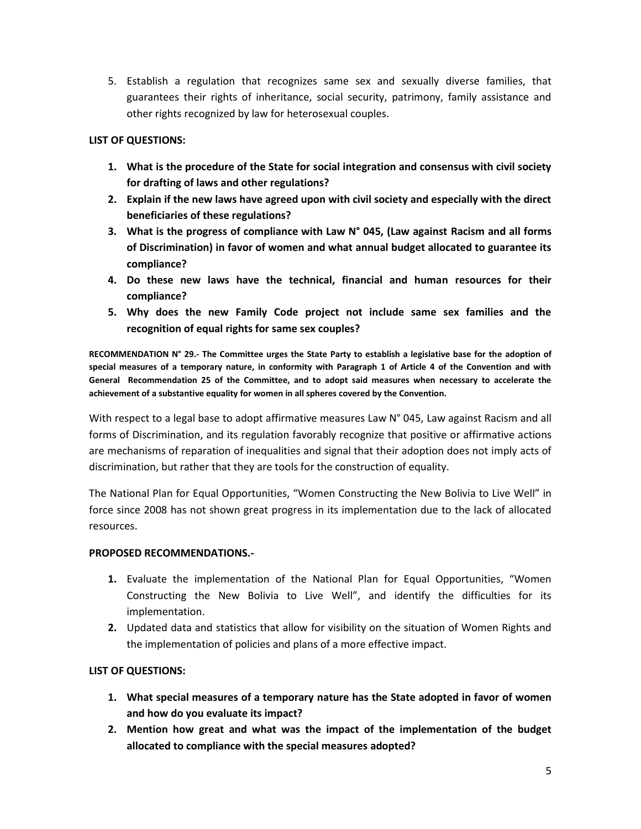5. Establish a regulation that recognizes same sex and sexually diverse families, that guarantees their rights of inheritance, social security, patrimony, family assistance and other rights recognized by law for heterosexual couples.

# **LIST OF QUESTIONS:**

- **1. What is the procedure of the State for social integration and consensus with civil society for drafting of laws and other regulations?**
- **2. Explain if the new laws have agreed upon with civil society and especially with the direct beneficiaries of these regulations?**
- **3. What is the progress of compliance with Law N° 045, (Law against Racism and all forms of Discrimination) in favor of women and what annual budget allocated to guarantee its compliance?**
- **4. Do these new laws have the technical, financial and human resources for their compliance?**
- **5. Why does the new Family Code project not include same sex families and the recognition of equal rights for same sex couples?**

**RECOMMENDATION N° 29.- The Committee urges the State Party to establish a legislative base for the adoption of special measures of a temporary nature, in conformity with Paragraph 1 of Article 4 of the Convention and with General Recommendation 25 of the Committee, and to adopt said measures when necessary to accelerate the achievement of a substantive equality for women in all spheres covered by the Convention.**

With respect to a legal base to adopt affirmative measures Law N° 045, Law against Racism and all forms of Discrimination, and its regulation favorably recognize that positive or affirmative actions are mechanisms of reparation of inequalities and signal that their adoption does not imply acts of discrimination, but rather that they are tools for the construction of equality.

The National Plan for Equal Opportunities, "Women Constructing the New Bolivia to Live Well" in force since 2008 has not shown great progress in its implementation due to the lack of allocated resources.

# **PROPOSED RECOMMENDATIONS.-**

- **1.** Evaluate the implementation of the National Plan for Equal Opportunities, "Women Constructing the New Bolivia to Live Well", and identify the difficulties for its implementation.
- **2.** Updated data and statistics that allow for visibility on the situation of Women Rights and the implementation of policies and plans of a more effective impact.

# **LIST OF QUESTIONS:**

- **1. What special measures of a temporary nature has the State adopted in favor of women and how do you evaluate its impact?**
- **2. Mention how great and what was the impact of the implementation of the budget allocated to compliance with the special measures adopted?**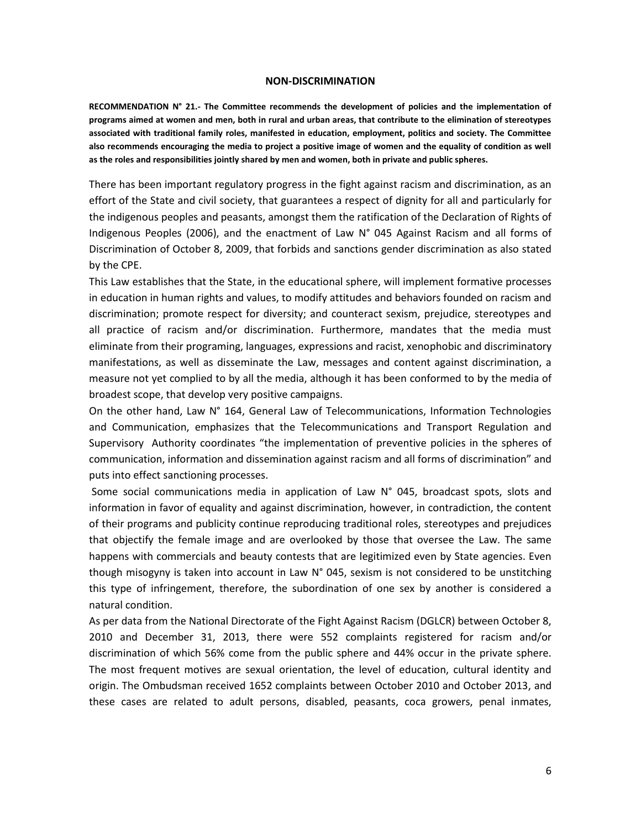#### **NON-DISCRIMINATION**

**RECOMMENDATION N° 21.- The Committee recommends the development of policies and the implementation of programs aimed at women and men, both in rural and urban areas, that contribute to the elimination of stereotypes associated with traditional family roles, manifested in education, employment, politics and society. The Committee also recommends encouraging the media to project a positive image of women and the equality of condition as well as the roles and responsibilities jointly shared by men and women, both in private and public spheres.**

There has been important regulatory progress in the fight against racism and discrimination, as an effort of the State and civil society, that guarantees a respect of dignity for all and particularly for the indigenous peoples and peasants, amongst them the ratification of the Declaration of Rights of Indigenous Peoples (2006), and the enactment of Law N° 045 Against Racism and all forms of Discrimination of October 8, 2009, that forbids and sanctions gender discrimination as also stated by the CPE.

This Law establishes that the State, in the educational sphere, will implement formative processes in education in human rights and values, to modify attitudes and behaviors founded on racism and discrimination; promote respect for diversity; and counteract sexism, prejudice, stereotypes and all practice of racism and/or discrimination. Furthermore, mandates that the media must eliminate from their programing, languages, expressions and racist, xenophobic and discriminatory manifestations, as well as disseminate the Law, messages and content against discrimination, a measure not yet complied to by all the media, although it has been conformed to by the media of broadest scope, that develop very positive campaigns.

On the other hand, Law N° 164, General Law of Telecommunications, Information Technologies and Communication, emphasizes that the Telecommunications and Transport Regulation and Supervisory Authority coordinates "the implementation of preventive policies in the spheres of communication, information and dissemination against racism and all forms of discrimination" and puts into effect sanctioning processes.

Some social communications media in application of Law N° 045, broadcast spots, slots and information in favor of equality and against discrimination, however, in contradiction, the content of their programs and publicity continue reproducing traditional roles, stereotypes and prejudices that objectify the female image and are overlooked by those that oversee the Law. The same happens with commercials and beauty contests that are legitimized even by State agencies. Even though misogyny is taken into account in Law N° 045, sexism is not considered to be unstitching this type of infringement, therefore, the subordination of one sex by another is considered a natural condition.

As per data from the National Directorate of the Fight Against Racism (DGLCR) between October 8, 2010 and December 31, 2013, there were 552 complaints registered for racism and/or discrimination of which 56% come from the public sphere and 44% occur in the private sphere. The most frequent motives are sexual orientation, the level of education, cultural identity and origin. The Ombudsman received 1652 complaints between October 2010 and October 2013, and these cases are related to adult persons, disabled, peasants, coca growers, penal inmates,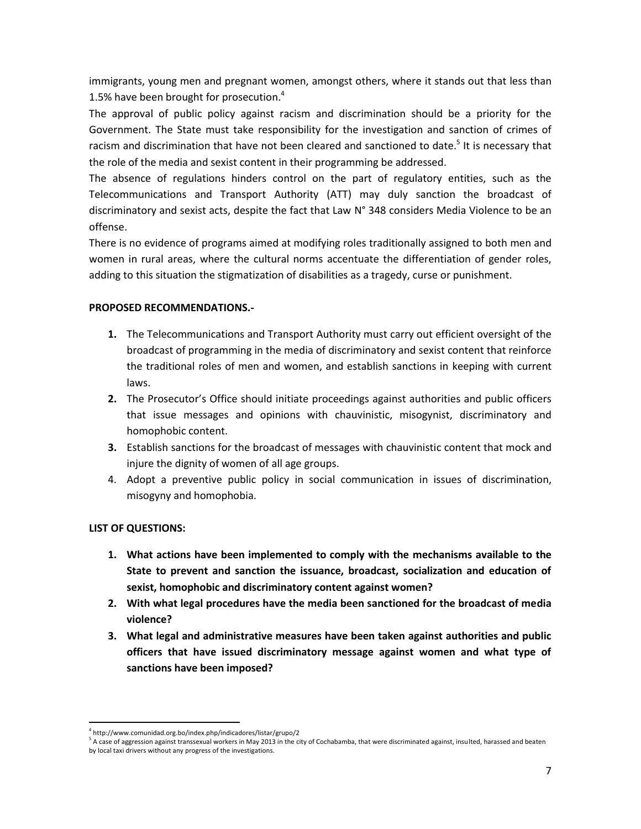immigrants, young men and pregnant women, amongst others, where it stands out that less than 1.5% have been brought for prosecution.<sup>4</sup>

The approval of public policy against racism and discrimination should be a priority for the Government. The State must take responsibility for the investigation and sanction of crimes of racism and discrimination that have not been cleared and sanctioned to date.<sup>5</sup> It is necessary that the role of the media and sexist content in their programming be addressed.

The absence of regulations hinders control on the part of regulatory entities, such as the Telecommunications and Transport Authority (ATT) may duly sanction the broadcast of discriminatory and sexist acts, despite the fact that Law N° 348 considers Media Violence to be an offense.

There is no evidence of programs aimed at modifying roles traditionally assigned to both men and women in rural areas, where the cultural norms accentuate the differentiation of gender roles, adding to this situation the stigmatization of disabilities as a tragedy, curse or punishment.

# **PROPOSED RECOMMENDATIONS.-**

- **1.** The Telecommunications and Transport Authority must carry out efficient oversight of the broadcast of programming in the media of discriminatory and sexist content that reinforce the traditional roles of men and women, and establish sanctions in keeping with current laws.
- **2.** The Prosecutor's Office should initiate proceedings against authorities and public officers that issue messages and opinions with chauvinistic, misogynist, discriminatory and homophobic content.
- **3.** Establish sanctions for the broadcast of messages with chauvinistic content that mock and injure the dignity of women of all age groups.
- 4. Adopt a preventive public policy in social communication in issues of discrimination, misogyny and homophobia.

# **LIST OF QUESTIONS:**

 $\overline{a}$ 

- **1. What actions have been implemented to comply with the mechanisms available to the State to prevent and sanction the issuance, broadcast, socialization and education of sexist, homophobic and discriminatory content against women?**
- **2. With what legal procedures have the media been sanctioned for the broadcast of media violence?**
- **3. What legal and administrative measures have been taken against authorities and public officers that have issued discriminatory message against women and what type of sanctions have been imposed?**

<sup>4</sup> http://www.comunidad.org.bo/index.php/indicadores/listar/grupo/2

 $^5$  A case of aggression against transsexual workers in May 2013 in the city of Cochabamba, that were discriminated against, insulted, harassed and beaten by local taxi drivers without any progress of the investigations.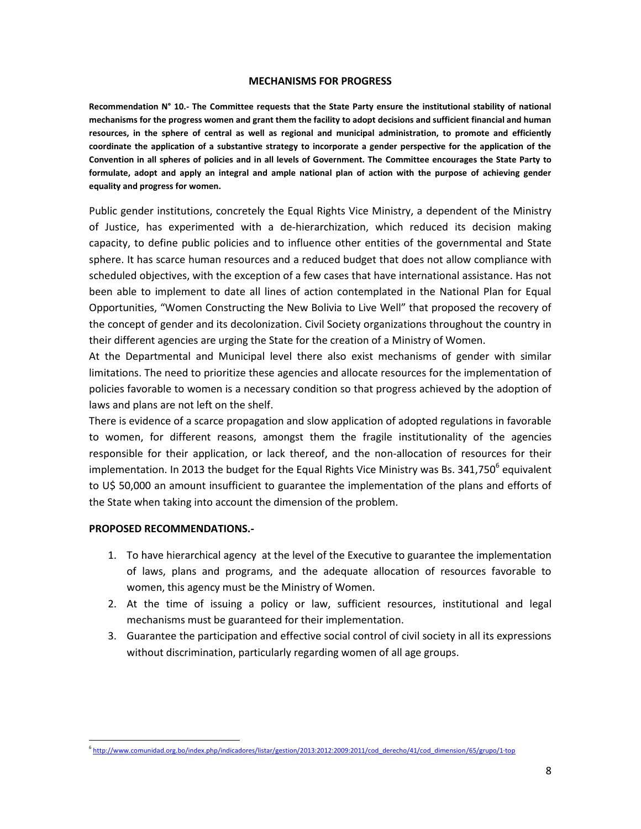#### **MECHANISMS FOR PROGRESS**

**Recommendation N° 10.- The Committee requests that the State Party ensure the institutional stability of national mechanisms for the progress women and grant them the facility to adopt decisions and sufficient financial and human resources, in the sphere of central as well as regional and municipal administration, to promote and efficiently coordinate the application of a substantive strategy to incorporate a gender perspective for the application of the Convention in all spheres of policies and in all levels of Government. The Committee encourages the State Party to formulate, adopt and apply an integral and ample national plan of action with the purpose of achieving gender equality and progress for women.** 

Public gender institutions, concretely the Equal Rights Vice Ministry, a dependent of the Ministry of Justice, has experimented with a de-hierarchization, which reduced its decision making capacity, to define public policies and to influence other entities of the governmental and State sphere. It has scarce human resources and a reduced budget that does not allow compliance with scheduled objectives, with the exception of a few cases that have international assistance. Has not been able to implement to date all lines of action contemplated in the National Plan for Equal Opportunities, "Women Constructing the New Bolivia to Live Well" that proposed the recovery of the concept of gender and its decolonization. Civil Society organizations throughout the country in their different agencies are urging the State for the creation of a Ministry of Women.

At the Departmental and Municipal level there also exist mechanisms of gender with similar limitations. The need to prioritize these agencies and allocate resources for the implementation of policies favorable to women is a necessary condition so that progress achieved by the adoption of laws and plans are not left on the shelf.

There is evidence of a scarce propagation and slow application of adopted regulations in favorable to women, for different reasons, amongst them the fragile institutionality of the agencies responsible for their application, or lack thereof, and the non-allocation of resources for their implementation. In 2013 the budget for the Equal Rights Vice Ministry was Bs. 341,750<sup>6</sup> equivalent to U\$ 50,000 an amount insufficient to guarantee the implementation of the plans and efforts of the State when taking into account the dimension of the problem.

#### **PROPOSED RECOMMENDATIONS.-**

- 1. To have hierarchical agency at the level of the Executive to guarantee the implementation of laws, plans and programs, and the adequate allocation of resources favorable to women, this agency must be the Ministry of Women.
- 2. At the time of issuing a policy or law, sufficient resources, institutional and legal mechanisms must be guaranteed for their implementation.
- 3. Guarantee the participation and effective social control of civil society in all its expressions without discrimination, particularly regarding women of all age groups.

 $\overline{a}$ 6 [http://www.comunidad.org.bo/index.php/indicadores/listar/gestion/2013:2012:2009:2011/cod\\_derecho/41/cod\\_dimension/65/grupo/1·top](http://www.comunidad.org.bo/index.php/indicadores/listar/gestion/2013:2012:2009:2011/cod_derecho/41/cod_dimension/65/grupo/1·top)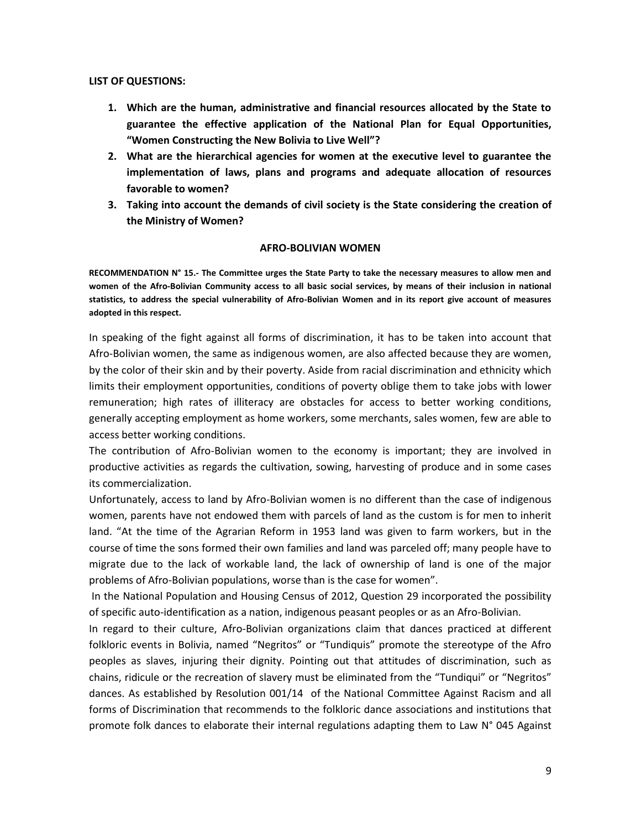#### **LIST OF QUESTIONS:**

- **1. Which are the human, administrative and financial resources allocated by the State to guarantee the effective application of the National Plan for Equal Opportunities, "Women Constructing the New Bolivia to Live Well"?**
- **2. What are the hierarchical agencies for women at the executive level to guarantee the implementation of laws, plans and programs and adequate allocation of resources favorable to women?**
- **3. Taking into account the demands of civil society is the State considering the creation of the Ministry of Women?**

#### **AFRO-BOLIVIAN WOMEN**

**RECOMMENDATION N° 15.- The Committee urges the State Party to take the necessary measures to allow men and women of the Afro-Bolivian Community access to all basic social services, by means of their inclusion in national statistics, to address the special vulnerability of Afro-Bolivian Women and in its report give account of measures adopted in this respect.**

In speaking of the fight against all forms of discrimination, it has to be taken into account that Afro-Bolivian women, the same as indigenous women, are also affected because they are women, by the color of their skin and by their poverty. Aside from racial discrimination and ethnicity which limits their employment opportunities, conditions of poverty oblige them to take jobs with lower remuneration; high rates of illiteracy are obstacles for access to better working conditions, generally accepting employment as home workers, some merchants, sales women, few are able to access better working conditions.

The contribution of Afro-Bolivian women to the economy is important; they are involved in productive activities as regards the cultivation, sowing, harvesting of produce and in some cases its commercialization.

Unfortunately, access to land by Afro-Bolivian women is no different than the case of indigenous women, parents have not endowed them with parcels of land as the custom is for men to inherit land. "At the time of the Agrarian Reform in 1953 land was given to farm workers, but in the course of time the sons formed their own families and land was parceled off; many people have to migrate due to the lack of workable land, the lack of ownership of land is one of the major problems of Afro-Bolivian populations, worse than is the case for women".

In the National Population and Housing Census of 2012, Question 29 incorporated the possibility of specific auto-identification as a nation, indigenous peasant peoples or as an Afro-Bolivian.

In regard to their culture, Afro-Bolivian organizations claim that dances practiced at different folkloric events in Bolivia, named "Negritos" or "Tundiquis" promote the stereotype of the Afro peoples as slaves, injuring their dignity. Pointing out that attitudes of discrimination, such as chains, ridicule or the recreation of slavery must be eliminated from the "Tundiqui" or "Negritos" dances. As established by Resolution 001/14 of the National Committee Against Racism and all forms of Discrimination that recommends to the folkloric dance associations and institutions that promote folk dances to elaborate their internal regulations adapting them to Law N° 045 Against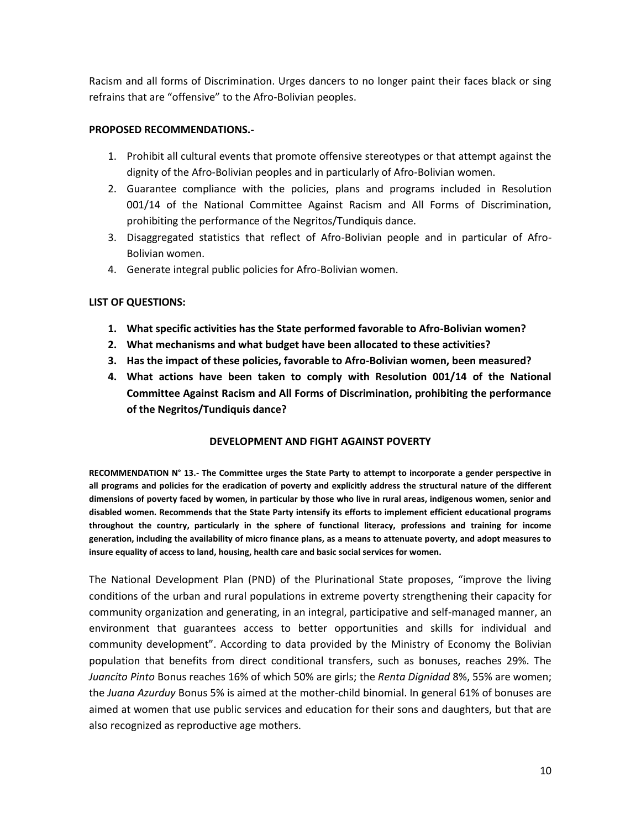Racism and all forms of Discrimination. Urges dancers to no longer paint their faces black or sing refrains that are "offensive" to the Afro-Bolivian peoples.

# **PROPOSED RECOMMENDATIONS.-**

- 1. Prohibit all cultural events that promote offensive stereotypes or that attempt against the dignity of the Afro-Bolivian peoples and in particularly of Afro-Bolivian women.
- 2. Guarantee compliance with the policies, plans and programs included in Resolution 001/14 of the National Committee Against Racism and All Forms of Discrimination, prohibiting the performance of the Negritos/Tundiquis dance.
- 3. Disaggregated statistics that reflect of Afro-Bolivian people and in particular of Afro-Bolivian women.
- 4. Generate integral public policies for Afro-Bolivian women.

# **LIST OF QUESTIONS:**

- **1. What specific activities has the State performed favorable to Afro-Bolivian women?**
- **2. What mechanisms and what budget have been allocated to these activities?**
- **3. Has the impact of these policies, favorable to Afro-Bolivian women, been measured?**
- **4. What actions have been taken to comply with Resolution 001/14 of the National Committee Against Racism and All Forms of Discrimination, prohibiting the performance of the Negritos/Tundiquis dance?**

# **DEVELOPMENT AND FIGHT AGAINST POVERTY**

**RECOMMENDATION N° 13.- The Committee urges the State Party to attempt to incorporate a gender perspective in all programs and policies for the eradication of poverty and explicitly address the structural nature of the different dimensions of poverty faced by women, in particular by those who live in rural areas, indigenous women, senior and disabled women. Recommends that the State Party intensify its efforts to implement efficient educational programs throughout the country, particularly in the sphere of functional literacy, professions and training for income generation, including the availability of micro finance plans, as a means to attenuate poverty, and adopt measures to insure equality of access to land, housing, health care and basic social services for women.**

The National Development Plan (PND) of the Plurinational State proposes, "improve the living conditions of the urban and rural populations in extreme poverty strengthening their capacity for community organization and generating, in an integral, participative and self-managed manner, an environment that guarantees access to better opportunities and skills for individual and community development". According to data provided by the Ministry of Economy the Bolivian population that benefits from direct conditional transfers, such as bonuses, reaches 29%. The *Juancito Pinto* Bonus reaches 16% of which 50% are girls; the *Renta Dignidad* 8%, 55% are women; the *Juana Azurduy* Bonus 5% is aimed at the mother-child binomial. In general 61% of bonuses are aimed at women that use public services and education for their sons and daughters, but that are also recognized as reproductive age mothers.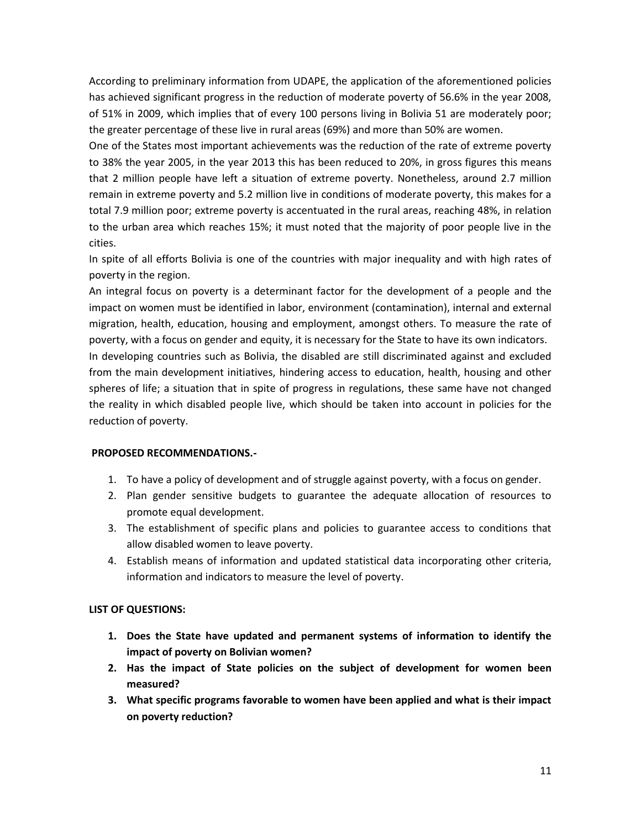According to preliminary information from UDAPE, the application of the aforementioned policies has achieved significant progress in the reduction of moderate poverty of 56.6% in the year 2008, of 51% in 2009, which implies that of every 100 persons living in Bolivia 51 are moderately poor; the greater percentage of these live in rural areas (69%) and more than 50% are women.

One of the States most important achievements was the reduction of the rate of extreme poverty to 38% the year 2005, in the year 2013 this has been reduced to 20%, in gross figures this means that 2 million people have left a situation of extreme poverty. Nonetheless, around 2.7 million remain in extreme poverty and 5.2 million live in conditions of moderate poverty, this makes for a total 7.9 million poor; extreme poverty is accentuated in the rural areas, reaching 48%, in relation to the urban area which reaches 15%; it must noted that the majority of poor people live in the cities.

In spite of all efforts Bolivia is one of the countries with major inequality and with high rates of poverty in the region.

An integral focus on poverty is a determinant factor for the development of a people and the impact on women must be identified in labor, environment (contamination), internal and external migration, health, education, housing and employment, amongst others. To measure the rate of poverty, with a focus on gender and equity, it is necessary for the State to have its own indicators. In developing countries such as Bolivia, the disabled are still discriminated against and excluded from the main development initiatives, hindering access to education, health, housing and other spheres of life; a situation that in spite of progress in regulations, these same have not changed the reality in which disabled people live, which should be taken into account in policies for the

reduction of poverty.

# **PROPOSED RECOMMENDATIONS.-**

- 1. To have a policy of development and of struggle against poverty, with a focus on gender.
- 2. Plan gender sensitive budgets to guarantee the adequate allocation of resources to promote equal development.
- 3. The establishment of specific plans and policies to guarantee access to conditions that allow disabled women to leave poverty.
- 4. Establish means of information and updated statistical data incorporating other criteria, information and indicators to measure the level of poverty.

# **LIST OF QUESTIONS:**

- **1. Does the State have updated and permanent systems of information to identify the impact of poverty on Bolivian women?**
- **2. Has the impact of State policies on the subject of development for women been measured?**
- **3. What specific programs favorable to women have been applied and what is their impact on poverty reduction?**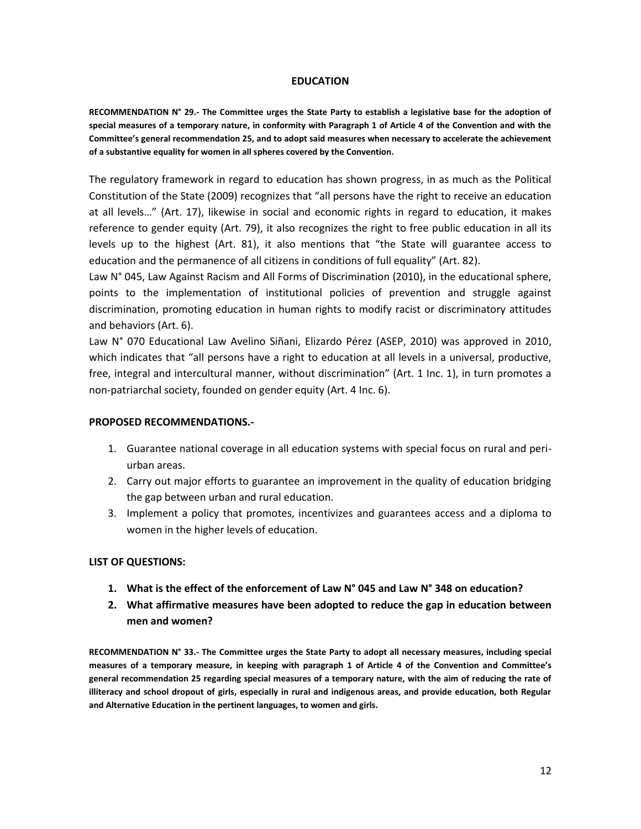#### **EDUCATION**

**RECOMMENDATION N° 29.- The Committee urges the State Party to establish a legislative base for the adoption of special measures of a temporary nature, in conformity with Paragraph 1 of Article 4 of the Convention and with the Committee's general recommendation 25, and to adopt said measures when necessary to accelerate the achievement of a substantive equality for women in all spheres covered by the Convention.**

The regulatory framework in regard to education has shown progress, in as much as the Political Constitution of the State (2009) recognizes that "all persons have the right to receive an education at all levels…" (Art. 17), likewise in social and economic rights in regard to education, it makes reference to gender equity (Art. 79), it also recognizes the right to free public education in all its levels up to the highest (Art. 81), it also mentions that "the State will guarantee access to education and the permanence of all citizens in conditions of full equality" (Art. 82).

Law N° 045, Law Against Racism and All Forms of Discrimination (2010), in the educational sphere, points to the implementation of institutional policies of prevention and struggle against discrimination, promoting education in human rights to modify racist or discriminatory attitudes and behaviors (Art. 6).

Law N° 070 Educational Law Avelino Siñani, Elizardo Pérez (ASEP, 2010) was approved in 2010, which indicates that "all persons have a right to education at all levels in a universal, productive, free, integral and intercultural manner, without discrimination" (Art. 1 Inc. 1), in turn promotes a non-patriarchal society, founded on gender equity (Art. 4 Inc. 6).

#### **PROPOSED RECOMMENDATIONS.-**

- 1. Guarantee national coverage in all education systems with special focus on rural and periurban areas.
- 2. Carry out major efforts to guarantee an improvement in the quality of education bridging the gap between urban and rural education.
- 3. Implement a policy that promotes, incentivizes and guarantees access and a diploma to women in the higher levels of education.

#### **LIST OF QUESTIONS:**

- **1. What is the effect of the enforcement of Law N° 045 and Law N° 348 on education?**
- **2. What affirmative measures have been adopted to reduce the gap in education between men and women?**

**RECOMMENDATION N° 33.- The Committee urges the State Party to adopt all necessary measures, including special measures of a temporary measure, in keeping with paragraph 1 of Article 4 of the Convention and Committee's general recommendation 25 regarding special measures of a temporary nature, with the aim of reducing the rate of illiteracy and school dropout of girls, especially in rural and indigenous areas, and provide education, both Regular and Alternative Education in the pertinent languages, to women and girls.**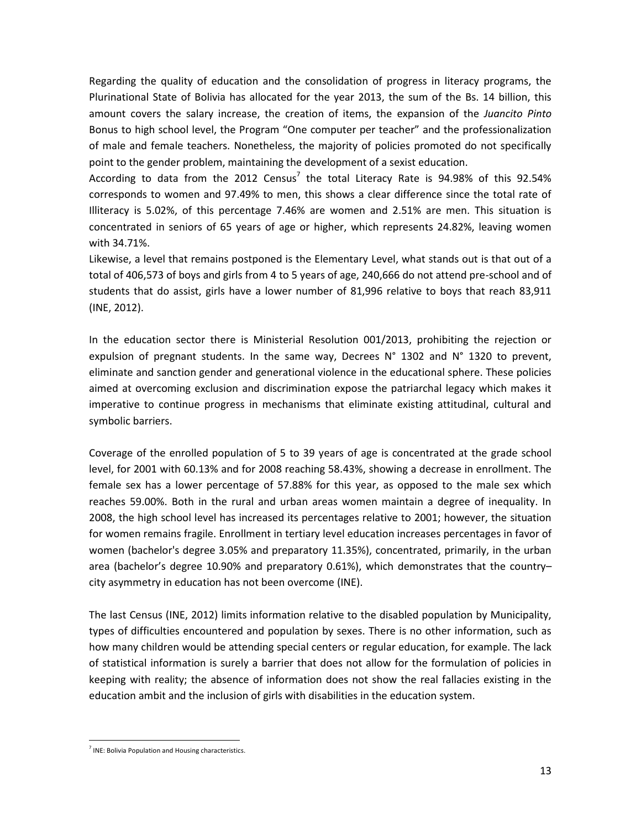Regarding the quality of education and the consolidation of progress in literacy programs, the Plurinational State of Bolivia has allocated for the year 2013, the sum of the Bs. 14 billion, this amount covers the salary increase, the creation of items, the expansion of the *Juancito Pinto*  Bonus to high school level, the Program "One computer per teacher" and the professionalization of male and female teachers. Nonetheless, the majority of policies promoted do not specifically point to the gender problem, maintaining the development of a sexist education.

According to data from the 2012 Census<sup>7</sup> the total Literacy Rate is 94.98% of this 92.54% corresponds to women and 97.49% to men, this shows a clear difference since the total rate of Illiteracy is 5.02%, of this percentage 7.46% are women and 2.51% are men. This situation is concentrated in seniors of 65 years of age or higher, which represents 24.82%, leaving women with 34.71%.

Likewise, a level that remains postponed is the Elementary Level, what stands out is that out of a total of 406,573 of boys and girls from 4 to 5 years of age, 240,666 do not attend pre-school and of students that do assist, girls have a lower number of 81,996 relative to boys that reach 83,911 (INE, 2012).

In the education sector there is Ministerial Resolution 001/2013, prohibiting the rejection or expulsion of pregnant students. In the same way, Decrees N° 1302 and N° 1320 to prevent, eliminate and sanction gender and generational violence in the educational sphere. These policies aimed at overcoming exclusion and discrimination expose the patriarchal legacy which makes it imperative to continue progress in mechanisms that eliminate existing attitudinal, cultural and symbolic barriers.

Coverage of the enrolled population of 5 to 39 years of age is concentrated at the grade school level, for 2001 with 60.13% and for 2008 reaching 58.43%, showing a decrease in enrollment. The female sex has a lower percentage of 57.88% for this year, as opposed to the male sex which reaches 59.00%. Both in the rural and urban areas women maintain a degree of inequality. In 2008, the high school level has increased its percentages relative to 2001; however, the situation for women remains fragile. Enrollment in tertiary level education increases percentages in favor of women (bachelor's degree 3.05% and preparatory 11.35%), concentrated, primarily, in the urban area (bachelor's degree 10.90% and preparatory 0.61%), which demonstrates that the country– city asymmetry in education has not been overcome (INE).

The last Census (INE, 2012) limits information relative to the disabled population by Municipality, types of difficulties encountered and population by sexes. There is no other information, such as how many children would be attending special centers or regular education, for example. The lack of statistical information is surely a barrier that does not allow for the formulation of policies in keeping with reality; the absence of information does not show the real fallacies existing in the education ambit and the inclusion of girls with disabilities in the education system.

 $\overline{a}$ <sup>7</sup> INE: Bolivia Population and Housing characteristics.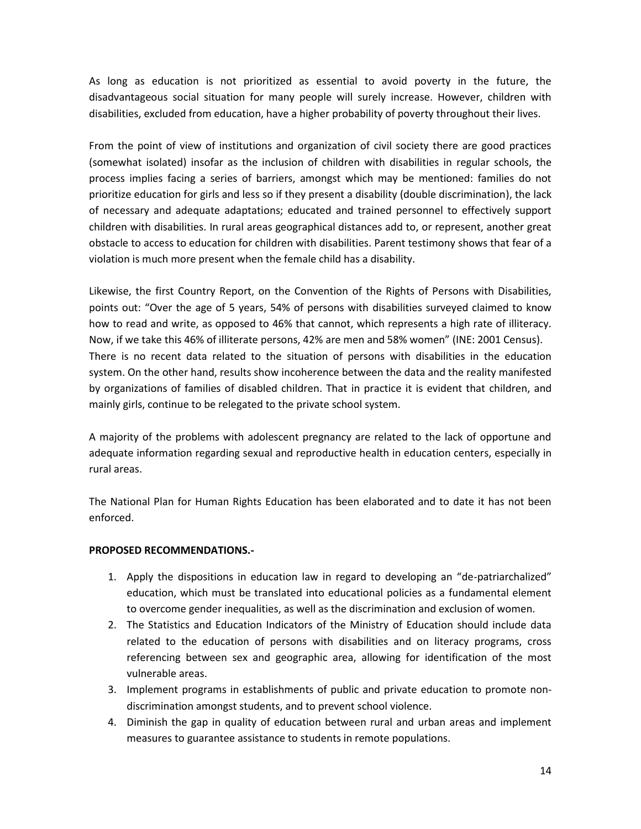As long as education is not prioritized as essential to avoid poverty in the future, the disadvantageous social situation for many people will surely increase. However, children with disabilities, excluded from education, have a higher probability of poverty throughout their lives.

From the point of view of institutions and organization of civil society there are good practices (somewhat isolated) insofar as the inclusion of children with disabilities in regular schools, the process implies facing a series of barriers, amongst which may be mentioned: families do not prioritize education for girls and less so if they present a disability (double discrimination), the lack of necessary and adequate adaptations; educated and trained personnel to effectively support children with disabilities. In rural areas geographical distances add to, or represent, another great obstacle to access to education for children with disabilities. Parent testimony shows that fear of a violation is much more present when the female child has a disability.

Likewise, the first Country Report, on the Convention of the Rights of Persons with Disabilities, points out: "Over the age of 5 years, 54% of persons with disabilities surveyed claimed to know how to read and write, as opposed to 46% that cannot, which represents a high rate of illiteracy. Now, if we take this 46% of illiterate persons, 42% are men and 58% women" (INE: 2001 Census). There is no recent data related to the situation of persons with disabilities in the education system. On the other hand, results show incoherence between the data and the reality manifested by organizations of families of disabled children. That in practice it is evident that children, and mainly girls, continue to be relegated to the private school system.

A majority of the problems with adolescent pregnancy are related to the lack of opportune and adequate information regarding sexual and reproductive health in education centers, especially in rural areas.

The National Plan for Human Rights Education has been elaborated and to date it has not been enforced.

# **PROPOSED RECOMMENDATIONS.-**

- 1. Apply the dispositions in education law in regard to developing an "de-patriarchalized" education, which must be translated into educational policies as a fundamental element to overcome gender inequalities, as well as the discrimination and exclusion of women.
- 2. The Statistics and Education Indicators of the Ministry of Education should include data related to the education of persons with disabilities and on literacy programs, cross referencing between sex and geographic area, allowing for identification of the most vulnerable areas.
- 3. Implement programs in establishments of public and private education to promote nondiscrimination amongst students, and to prevent school violence.
- 4. Diminish the gap in quality of education between rural and urban areas and implement measures to guarantee assistance to students in remote populations.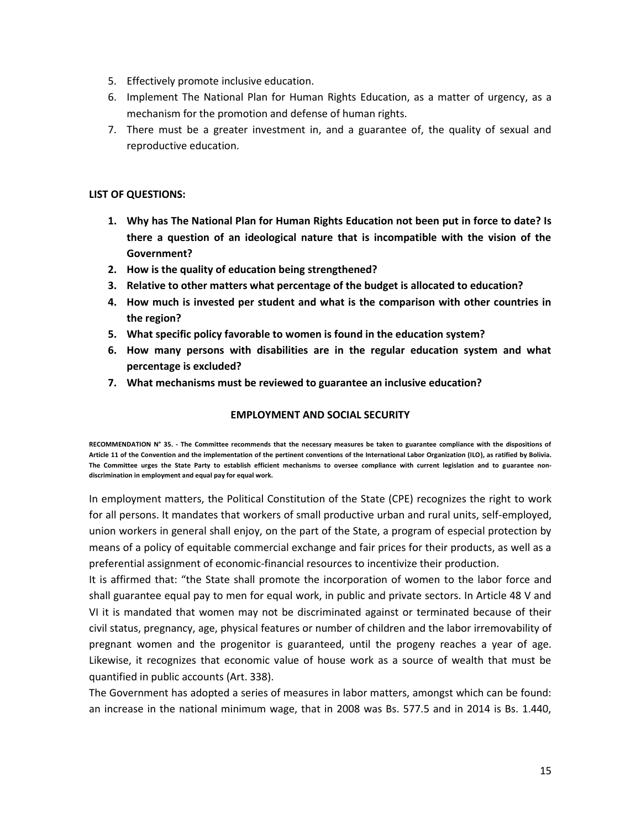- 5. Effectively promote inclusive education.
- 6. Implement The National Plan for Human Rights Education, as a matter of urgency, as a mechanism for the promotion and defense of human rights.
- 7. There must be a greater investment in, and a guarantee of, the quality of sexual and reproductive education.

# **LIST OF QUESTIONS:**

- **1. Why has The National Plan for Human Rights Education not been put in force to date? Is there a question of an ideological nature that is incompatible with the vision of the Government?**
- **2. How is the quality of education being strengthened?**
- **3. Relative to other matters what percentage of the budget is allocated to education?**
- **4. How much is invested per student and what is the comparison with other countries in the region?**
- **5. What specific policy favorable to women is found in the education system?**
- **6. How many persons with disabilities are in the regular education system and what percentage is excluded?**
- **7. What mechanisms must be reviewed to guarantee an inclusive education?**

# **EMPLOYMENT AND SOCIAL SECURITY**

**RECOMMENDATION N° 35. - The Committee recommends that the necessary measures be taken to guarantee compliance with the dispositions of Article 11 of the Convention and the implementation of the pertinent conventions of the International Labor Organization (ILO), as ratified by Bolivia. The Committee urges the State Party to establish efficient mechanisms to oversee compliance with current legislation and to guarantee nondiscrimination in employment and equal pay for equal work.** 

In employment matters, the Political Constitution of the State (CPE) recognizes the right to work for all persons. It mandates that workers of small productive urban and rural units, self-employed, union workers in general shall enjoy, on the part of the State, a program of especial protection by means of a policy of equitable commercial exchange and fair prices for their products, as well as a preferential assignment of economic-financial resources to incentivize their production.

It is affirmed that: "the State shall promote the incorporation of women to the labor force and shall guarantee equal pay to men for equal work, in public and private sectors. In Article 48 V and VI it is mandated that women may not be discriminated against or terminated because of their civil status, pregnancy, age, physical features or number of children and the labor irremovability of pregnant women and the progenitor is guaranteed, until the progeny reaches a year of age. Likewise, it recognizes that economic value of house work as a source of wealth that must be quantified in public accounts (Art. 338).

The Government has adopted a series of measures in labor matters, amongst which can be found: an increase in the national minimum wage, that in 2008 was Bs. 577.5 and in 2014 is Bs. 1.440,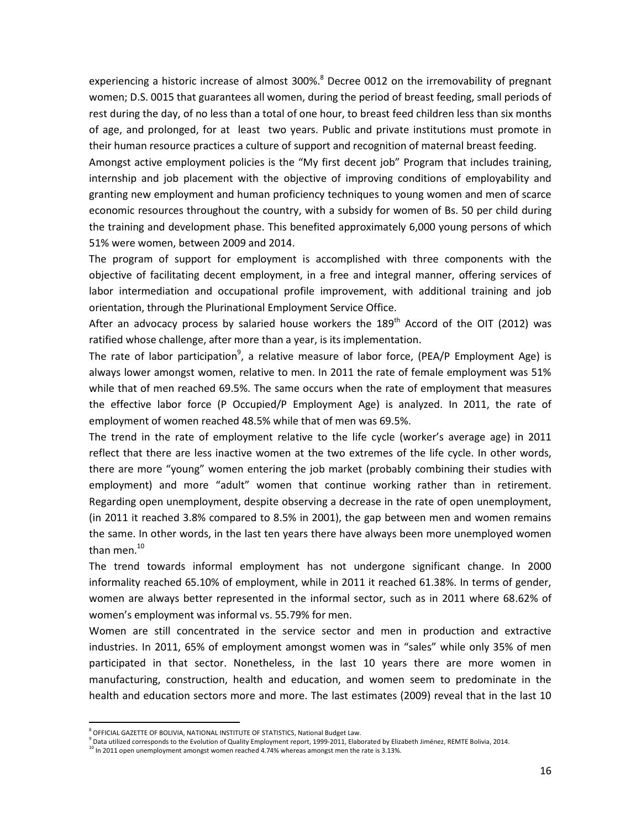experiencing a historic increase of almost 300%.<sup>8</sup> Decree 0012 on the irremovability of pregnant women; D.S. 0015 that guarantees all women, during the period of breast feeding, small periods of rest during the day, of no less than a total of one hour, to breast feed children less than six months of age, and prolonged, for at least two years. Public and private institutions must promote in their human resource practices a culture of support and recognition of maternal breast feeding.

Amongst active employment policies is the "My first decent job" Program that includes training, internship and job placement with the objective of improving conditions of employability and granting new employment and human proficiency techniques to young women and men of scarce economic resources throughout the country, with a subsidy for women of Bs. 50 per child during the training and development phase. This benefited approximately 6,000 young persons of which 51% were women, between 2009 and 2014.

The program of support for employment is accomplished with three components with the objective of facilitating decent employment, in a free and integral manner, offering services of labor intermediation and occupational profile improvement, with additional training and job orientation, through the Plurinational Employment Service Office.

After an advocacy process by salaried house workers the  $189<sup>th</sup>$  Accord of the OIT (2012) was ratified whose challenge, after more than a year, is its implementation.

The rate of labor participation<sup>9</sup>, a relative measure of labor force, (PEA/P Employment Age) is always lower amongst women, relative to men. In 2011 the rate of female employment was 51% while that of men reached 69.5%. The same occurs when the rate of employment that measures the effective labor force (P Occupied/P Employment Age) is analyzed. In 2011, the rate of employment of women reached 48.5% while that of men was 69.5%.

The trend in the rate of employment relative to the life cycle (worker's average age) in 2011 reflect that there are less inactive women at the two extremes of the life cycle. In other words, there are more "young" women entering the job market (probably combining their studies with employment) and more "adult" women that continue working rather than in retirement. Regarding open unemployment, despite observing a decrease in the rate of open unemployment, (in 2011 it reached 3.8% compared to 8.5% in 2001), the gap between men and women remains the same. In other words, in the last ten years there have always been more unemployed women than men.<sup>10</sup>

The trend towards informal employment has not undergone significant change. In 2000 informality reached 65.10% of employment, while in 2011 it reached 61.38%. In terms of gender, women are always better represented in the informal sector, such as in 2011 where 68.62% of women's employment was informal vs. 55.79% for men.

Women are still concentrated in the service sector and men in production and extractive industries. In 2011, 65% of employment amongst women was in "sales" while only 35% of men participated in that sector. Nonetheless, in the last 10 years there are more women in manufacturing, construction, health and education, and women seem to predominate in the health and education sectors more and more. The last estimates (2009) reveal that in the last 10

e<br>|-<br>| OFFICIAL GAZETTE OF BOLIVIA, NATIONAL INSTITUTE OF STATISTICS, National Budget Law

 $^9$  Data utilized corresponds to the Evolution of Quality Employment report, 1999-2011, Elaborated by Elizabeth Jiménez, REMTE Bolivia, 2014.

<sup>&</sup>lt;sup>10</sup> In 2011 open unemployment amongst women reached 4.74% whereas amongst men the rate is 3.13%.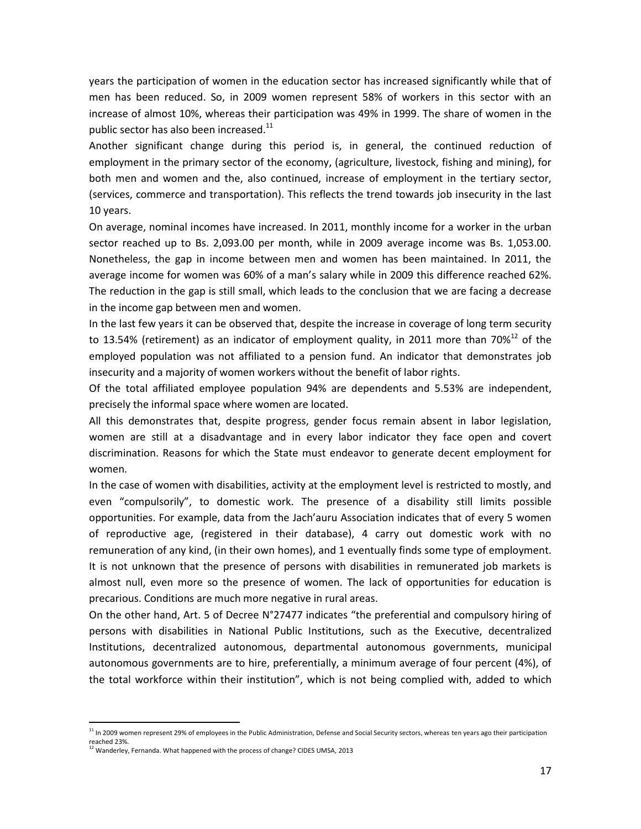years the participation of women in the education sector has increased significantly while that of men has been reduced. So, in 2009 women represent 58% of workers in this sector with an increase of almost 10%, whereas their participation was 49% in 1999. The share of women in the public sector has also been increased.<sup>11</sup>

Another significant change during this period is, in general, the continued reduction of employment in the primary sector of the economy, (agriculture, livestock, fishing and mining), for both men and women and the, also continued, increase of employment in the tertiary sector, (services, commerce and transportation). This reflects the trend towards job insecurity in the last 10 years.

On average, nominal incomes have increased. In 2011, monthly income for a worker in the urban sector reached up to Bs. 2,093.00 per month, while in 2009 average income was Bs. 1,053.00. Nonetheless, the gap in income between men and women has been maintained. In 2011, the average income for women was 60% of a man's salary while in 2009 this difference reached 62%. The reduction in the gap is still small, which leads to the conclusion that we are facing a decrease in the income gap between men and women.

In the last few years it can be observed that, despite the increase in coverage of long term security to 13.54% (retirement) as an indicator of employment quality, in 2011 more than 70% $^{12}$  of the employed population was not affiliated to a pension fund. An indicator that demonstrates job insecurity and a majority of women workers without the benefit of labor rights.

Of the total affiliated employee population 94% are dependents and 5.53% are independent, precisely the informal space where women are located.

All this demonstrates that, despite progress, gender focus remain absent in labor legislation, women are still at a disadvantage and in every labor indicator they face open and covert discrimination. Reasons for which the State must endeavor to generate decent employment for women.

In the case of women with disabilities, activity at the employment level is restricted to mostly, and even "compulsorily", to domestic work. The presence of a disability still limits possible opportunities. For example, data from the Jach'auru Association indicates that of every 5 women of reproductive age, (registered in their database), 4 carry out domestic work with no remuneration of any kind, (in their own homes), and 1 eventually finds some type of employment. It is not unknown that the presence of persons with disabilities in remunerated job markets is almost null, even more so the presence of women. The lack of opportunities for education is precarious. Conditions are much more negative in rural areas.

On the other hand, Art. 5 of Decree N°27477 indicates "the preferential and compulsory hiring of persons with disabilities in National Public Institutions, such as the Executive, decentralized Institutions, decentralized autonomous, departmental autonomous governments, municipal autonomous governments are to hire, preferentially, a minimum average of four percent (4%), of the total workforce within their institution", which is not being complied with, added to which

 $\overline{a}$ 

 $11$  In 2009 women represent 29% of employees in the Public Administration, Defense and Social Security sectors, whereas ten years ago their participation reached 23%.

<sup>12</sup> Wanderley, Fernanda. What happened with the process of change? CIDES UMSA, 2013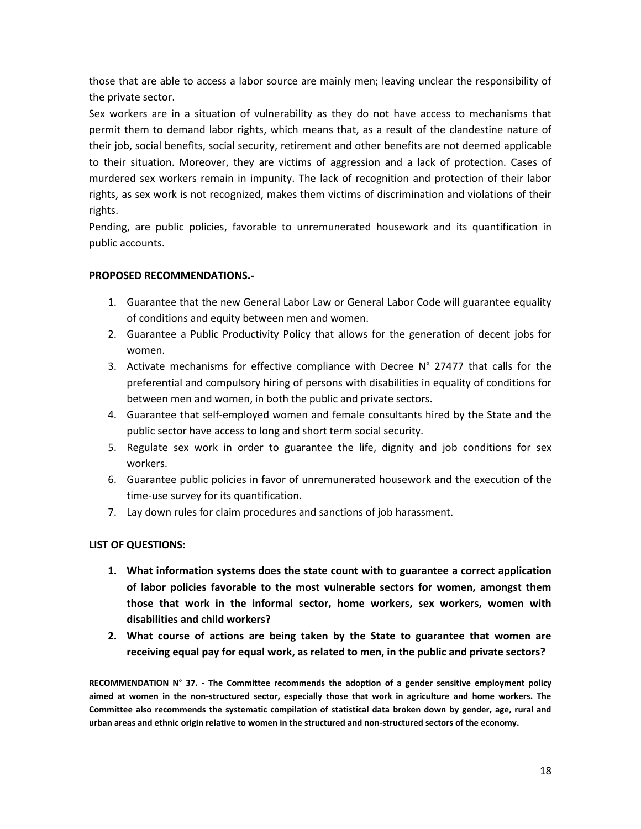those that are able to access a labor source are mainly men; leaving unclear the responsibility of the private sector.

Sex workers are in a situation of vulnerability as they do not have access to mechanisms that permit them to demand labor rights, which means that, as a result of the clandestine nature of their job, social benefits, social security, retirement and other benefits are not deemed applicable to their situation. Moreover, they are victims of aggression and a lack of protection. Cases of murdered sex workers remain in impunity. The lack of recognition and protection of their labor rights, as sex work is not recognized, makes them victims of discrimination and violations of their rights.

Pending, are public policies, favorable to unremunerated housework and its quantification in public accounts.

# **PROPOSED RECOMMENDATIONS.-**

- 1. Guarantee that the new General Labor Law or General Labor Code will guarantee equality of conditions and equity between men and women.
- 2. Guarantee a Public Productivity Policy that allows for the generation of decent jobs for women.
- 3. Activate mechanisms for effective compliance with Decree N° 27477 that calls for the preferential and compulsory hiring of persons with disabilities in equality of conditions for between men and women, in both the public and private sectors.
- 4. Guarantee that self-employed women and female consultants hired by the State and the public sector have access to long and short term social security.
- 5. Regulate sex work in order to guarantee the life, dignity and job conditions for sex workers.
- 6. Guarantee public policies in favor of unremunerated housework and the execution of the time-use survey for its quantification.
- 7. Lay down rules for claim procedures and sanctions of job harassment.

# **LIST OF QUESTIONS:**

- **1. What information systems does the state count with to guarantee a correct application of labor policies favorable to the most vulnerable sectors for women, amongst them those that work in the informal sector, home workers, sex workers, women with disabilities and child workers?**
- **2. What course of actions are being taken by the State to guarantee that women are receiving equal pay for equal work, as related to men, in the public and private sectors?**

**RECOMMENDATION N° 37. - The Committee recommends the adoption of a gender sensitive employment policy aimed at women in the non-structured sector, especially those that work in agriculture and home workers. The Committee also recommends the systematic compilation of statistical data broken down by gender, age, rural and urban areas and ethnic origin relative to women in the structured and non-structured sectors of the economy.**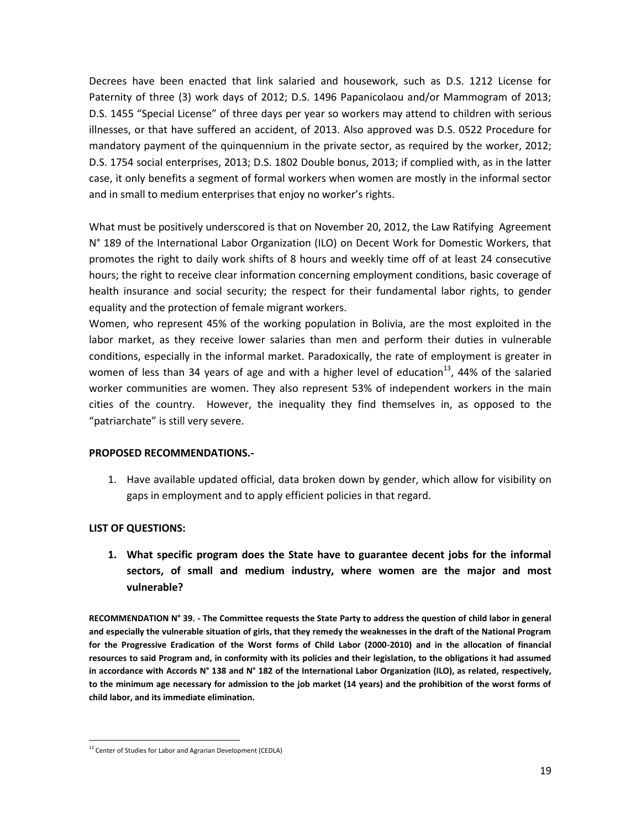Decrees have been enacted that link salaried and housework, such as D.S. 1212 License for Paternity of three (3) work days of 2012; D.S. 1496 Papanicolaou and/or Mammogram of 2013; D.S. 1455 "Special License" of three days per year so workers may attend to children with serious illnesses, or that have suffered an accident, of 2013. Also approved was D.S. 0522 Procedure for mandatory payment of the quinquennium in the private sector, as required by the worker, 2012; D.S. 1754 social enterprises, 2013; D.S. 1802 Double bonus, 2013; if complied with, as in the latter case, it only benefits a segment of formal workers when women are mostly in the informal sector and in small to medium enterprises that enjoy no worker's rights.

What must be positively underscored is that on November 20, 2012, the Law Ratifying Agreement N° 189 of the International Labor Organization (ILO) on Decent Work for Domestic Workers, that promotes the right to daily work shifts of 8 hours and weekly time off of at least 24 consecutive hours; the right to receive clear information concerning employment conditions, basic coverage of health insurance and social security; the respect for their fundamental labor rights, to gender equality and the protection of female migrant workers.

Women, who represent 45% of the working population in Bolivia, are the most exploited in the labor market, as they receive lower salaries than men and perform their duties in vulnerable conditions, especially in the informal market. Paradoxically, the rate of employment is greater in women of less than 34 years of age and with a higher level of education<sup>13</sup>, 44% of the salaried worker communities are women. They also represent 53% of independent workers in the main cities of the country. However, the inequality they find themselves in, as opposed to the "patriarchate" is still very severe.

#### **PROPOSED RECOMMENDATIONS.-**

1. Have available updated official, data broken down by gender, which allow for visibility on gaps in employment and to apply efficient policies in that regard.

# **LIST OF QUESTIONS:**

**1. What specific program does the State have to guarantee decent jobs for the informal sectors, of small and medium industry, where women are the major and most vulnerable?**

**RECOMMENDATION N° 39. - The Committee requests the State Party to address the question of child labor in general and especially the vulnerable situation of girls, that they remedy the weaknesses in the draft of the National Program for the Progressive Eradication of the Worst forms of Child Labor (2000-2010) and in the allocation of financial resources to said Program and, in conformity with its policies and their legislation, to the obligations it had assumed in accordance with Accords N° 138 and N° 182 of the International Labor Organization (ILO), as related, respectively, to the minimum age necessary for admission to the job market (14 years) and the prohibition of the worst forms of child labor, and its immediate elimination.**

 $\overline{a}$ <sup>13</sup> Center of Studies for Labor and Agrarian Development (CEDLA)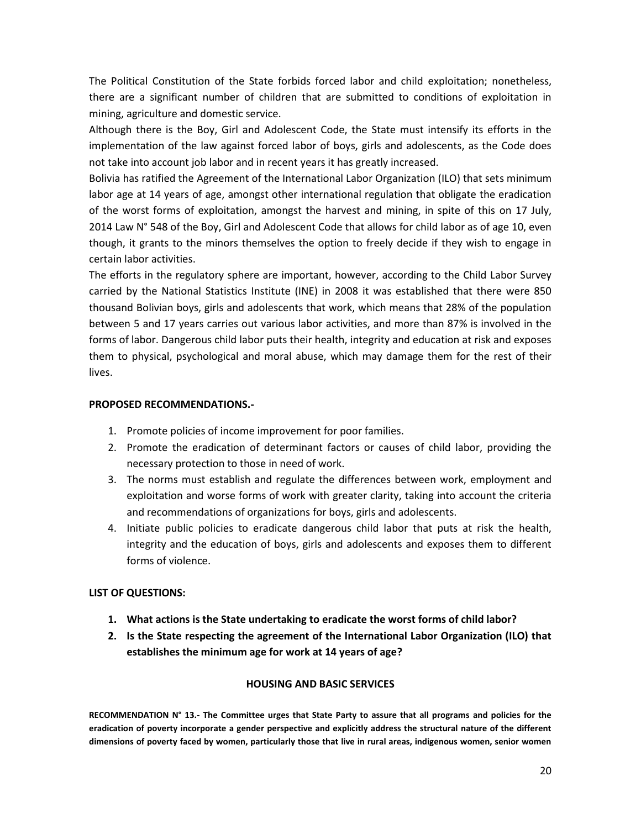The Political Constitution of the State forbids forced labor and child exploitation; nonetheless, there are a significant number of children that are submitted to conditions of exploitation in mining, agriculture and domestic service.

Although there is the Boy, Girl and Adolescent Code, the State must intensify its efforts in the implementation of the law against forced labor of boys, girls and adolescents, as the Code does not take into account job labor and in recent years it has greatly increased.

Bolivia has ratified the Agreement of the International Labor Organization (ILO) that sets minimum labor age at 14 years of age, amongst other international regulation that obligate the eradication of the worst forms of exploitation, amongst the harvest and mining, in spite of this on 17 July, 2014 Law N° 548 of the Boy, Girl and Adolescent Code that allows for child labor as of age 10, even though, it grants to the minors themselves the option to freely decide if they wish to engage in certain labor activities.

The efforts in the regulatory sphere are important, however, according to the Child Labor Survey carried by the National Statistics Institute (INE) in 2008 it was established that there were 850 thousand Bolivian boys, girls and adolescents that work, which means that 28% of the population between 5 and 17 years carries out various labor activities, and more than 87% is involved in the forms of labor. Dangerous child labor puts their health, integrity and education at risk and exposes them to physical, psychological and moral abuse, which may damage them for the rest of their lives.

# **PROPOSED RECOMMENDATIONS.-**

- 1. Promote policies of income improvement for poor families.
- 2. Promote the eradication of determinant factors or causes of child labor, providing the necessary protection to those in need of work.
- 3. The norms must establish and regulate the differences between work, employment and exploitation and worse forms of work with greater clarity, taking into account the criteria and recommendations of organizations for boys, girls and adolescents.
- 4. Initiate public policies to eradicate dangerous child labor that puts at risk the health, integrity and the education of boys, girls and adolescents and exposes them to different forms of violence.

# **LIST OF QUESTIONS:**

- **1. What actions is the State undertaking to eradicate the worst forms of child labor?**
- **2. Is the State respecting the agreement of the International Labor Organization (ILO) that establishes the minimum age for work at 14 years of age?**

# **HOUSING AND BASIC SERVICES**

**RECOMMENDATION N° 13.- The Committee urges that State Party to assure that all programs and policies for the eradication of poverty incorporate a gender perspective and explicitly address the structural nature of the different dimensions of poverty faced by women, particularly those that live in rural areas, indigenous women, senior women**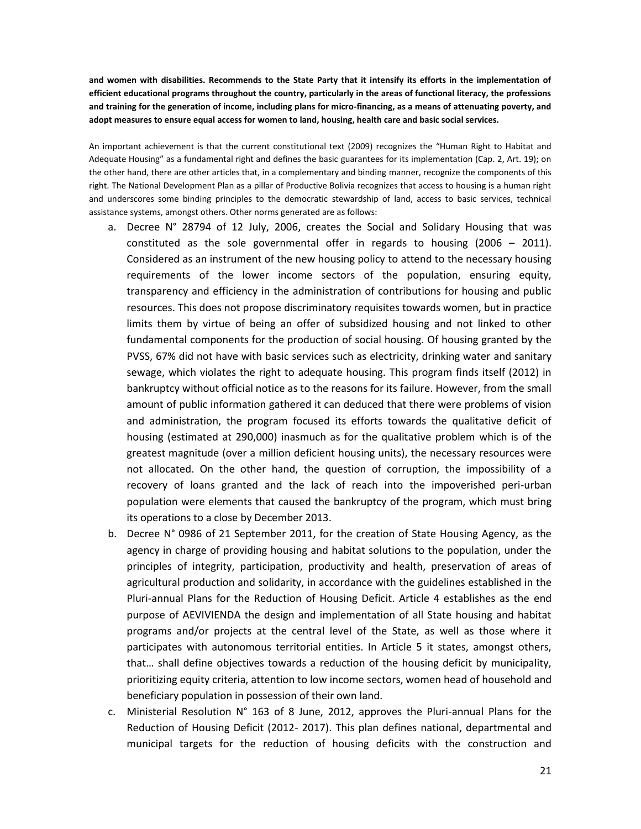**and women with disabilities. Recommends to the State Party that it intensify its efforts in the implementation of efficient educational programs throughout the country, particularly in the areas of functional literacy, the professions and training for the generation of income, including plans for micro-financing, as a means of attenuating poverty, and adopt measures to ensure equal access for women to land, housing, health care and basic social services.**

An important achievement is that the current constitutional text (2009) recognizes the "Human Right to Habitat and Adequate Housing" as a fundamental right and defines the basic guarantees for its implementation (Cap. 2, Art. 19); on the other hand, there are other articles that, in a complementary and binding manner, recognize the components of this right. The National Development Plan as a pillar of Productive Bolivia recognizes that access to housing is a human right and underscores some binding principles to the democratic stewardship of land, access to basic services, technical assistance systems, amongst others. Other norms generated are as follows:

- a. Decree N° 28794 of 12 July, 2006, creates the Social and Solidary Housing that was constituted as the sole governmental offer in regards to housing (2006 – 2011). Considered as an instrument of the new housing policy to attend to the necessary housing requirements of the lower income sectors of the population, ensuring equity, transparency and efficiency in the administration of contributions for housing and public resources. This does not propose discriminatory requisites towards women, but in practice limits them by virtue of being an offer of subsidized housing and not linked to other fundamental components for the production of social housing. Of housing granted by the PVSS, 67% did not have with basic services such as electricity, drinking water and sanitary sewage, which violates the right to adequate housing. This program finds itself (2012) in bankruptcy without official notice as to the reasons for its failure. However, from the small amount of public information gathered it can deduced that there were problems of vision and administration, the program focused its efforts towards the qualitative deficit of housing (estimated at 290,000) inasmuch as for the qualitative problem which is of the greatest magnitude (over a million deficient housing units), the necessary resources were not allocated. On the other hand, the question of corruption, the impossibility of a recovery of loans granted and the lack of reach into the impoverished peri-urban population were elements that caused the bankruptcy of the program, which must bring its operations to a close by December 2013.
- b. Decree N° 0986 of 21 September 2011, for the creation of State Housing Agency, as the agency in charge of providing housing and habitat solutions to the population, under the principles of integrity, participation, productivity and health, preservation of areas of agricultural production and solidarity, in accordance with the guidelines established in the Pluri-annual Plans for the Reduction of Housing Deficit. Article 4 establishes as the end purpose of AEVIVIENDA the design and implementation of all State housing and habitat programs and/or projects at the central level of the State, as well as those where it participates with autonomous territorial entities. In Article 5 it states, amongst others, that… shall define objectives towards a reduction of the housing deficit by municipality, prioritizing equity criteria, attention to low income sectors, women head of household and beneficiary population in possession of their own land.
- c. Ministerial Resolution  $N^{\circ}$  163 of 8 June, 2012, approves the Pluri-annual Plans for the Reduction of Housing Deficit (2012- 2017). This plan defines national, departmental and municipal targets for the reduction of housing deficits with the construction and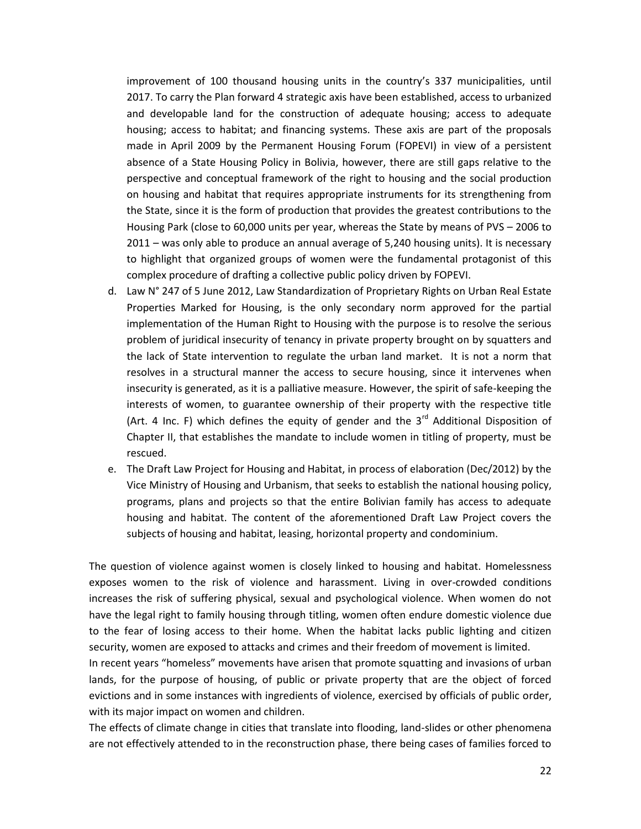improvement of 100 thousand housing units in the country's 337 municipalities, until 2017. To carry the Plan forward 4 strategic axis have been established, access to urbanized and developable land for the construction of adequate housing; access to adequate housing; access to habitat; and financing systems. These axis are part of the proposals made in April 2009 by the Permanent Housing Forum (FOPEVI) in view of a persistent absence of a State Housing Policy in Bolivia, however, there are still gaps relative to the perspective and conceptual framework of the right to housing and the social production on housing and habitat that requires appropriate instruments for its strengthening from the State, since it is the form of production that provides the greatest contributions to the Housing Park (close to 60,000 units per year, whereas the State by means of PVS – 2006 to 2011 – was only able to produce an annual average of 5,240 housing units). It is necessary to highlight that organized groups of women were the fundamental protagonist of this complex procedure of drafting a collective public policy driven by FOPEVI.

- d. Law N° 247 of 5 June 2012, Law Standardization of Proprietary Rights on Urban Real Estate Properties Marked for Housing, is the only secondary norm approved for the partial implementation of the Human Right to Housing with the purpose is to resolve the serious problem of juridical insecurity of tenancy in private property brought on by squatters and the lack of State intervention to regulate the urban land market. It is not a norm that resolves in a structural manner the access to secure housing, since it intervenes when insecurity is generated, as it is a palliative measure. However, the spirit of safe-keeping the interests of women, to guarantee ownership of their property with the respective title (Art. 4 Inc. F) which defines the equity of gender and the  $3<sup>rd</sup>$  Additional Disposition of Chapter II, that establishes the mandate to include women in titling of property, must be rescued.
- e. The Draft Law Project for Housing and Habitat, in process of elaboration (Dec/2012) by the Vice Ministry of Housing and Urbanism, that seeks to establish the national housing policy, programs, plans and projects so that the entire Bolivian family has access to adequate housing and habitat. The content of the aforementioned Draft Law Project covers the subjects of housing and habitat, leasing, horizontal property and condominium.

The question of violence against women is closely linked to housing and habitat. Homelessness exposes women to the risk of violence and harassment. Living in over-crowded conditions increases the risk of suffering physical, sexual and psychological violence. When women do not have the legal right to family housing through titling, women often endure domestic violence due to the fear of losing access to their home. When the habitat lacks public lighting and citizen security, women are exposed to attacks and crimes and their freedom of movement is limited.

In recent years "homeless" movements have arisen that promote squatting and invasions of urban lands, for the purpose of housing, of public or private property that are the object of forced evictions and in some instances with ingredients of violence, exercised by officials of public order, with its major impact on women and children.

The effects of climate change in cities that translate into flooding, land-slides or other phenomena are not effectively attended to in the reconstruction phase, there being cases of families forced to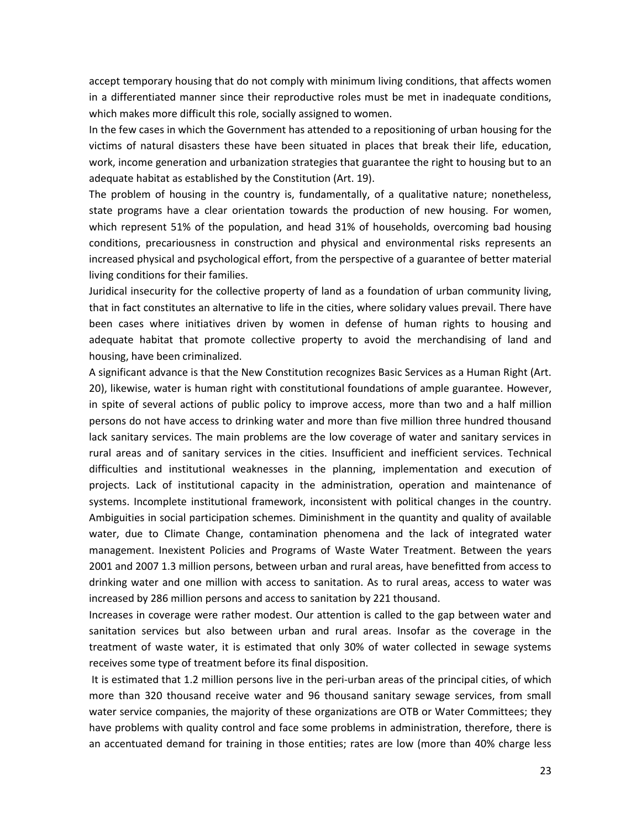accept temporary housing that do not comply with minimum living conditions, that affects women in a differentiated manner since their reproductive roles must be met in inadequate conditions, which makes more difficult this role, socially assigned to women.

In the few cases in which the Government has attended to a repositioning of urban housing for the victims of natural disasters these have been situated in places that break their life, education, work, income generation and urbanization strategies that guarantee the right to housing but to an adequate habitat as established by the Constitution (Art. 19).

The problem of housing in the country is, fundamentally, of a qualitative nature; nonetheless, state programs have a clear orientation towards the production of new housing. For women, which represent 51% of the population, and head 31% of households, overcoming bad housing conditions, precariousness in construction and physical and environmental risks represents an increased physical and psychological effort, from the perspective of a guarantee of better material living conditions for their families.

Juridical insecurity for the collective property of land as a foundation of urban community living, that in fact constitutes an alternative to life in the cities, where solidary values prevail. There have been cases where initiatives driven by women in defense of human rights to housing and adequate habitat that promote collective property to avoid the merchandising of land and housing, have been criminalized.

A significant advance is that the New Constitution recognizes Basic Services as a Human Right (Art. 20), likewise, water is human right with constitutional foundations of ample guarantee. However, in spite of several actions of public policy to improve access, more than two and a half million persons do not have access to drinking water and more than five million three hundred thousand lack sanitary services. The main problems are the low coverage of water and sanitary services in rural areas and of sanitary services in the cities. Insufficient and inefficient services. Technical difficulties and institutional weaknesses in the planning, implementation and execution of projects. Lack of institutional capacity in the administration, operation and maintenance of systems. Incomplete institutional framework, inconsistent with political changes in the country. Ambiguities in social participation schemes. Diminishment in the quantity and quality of available water, due to Climate Change, contamination phenomena and the lack of integrated water management. Inexistent Policies and Programs of Waste Water Treatment. Between the years 2001 and 2007 1.3 million persons, between urban and rural areas, have benefitted from access to drinking water and one million with access to sanitation. As to rural areas, access to water was increased by 286 million persons and access to sanitation by 221 thousand.

Increases in coverage were rather modest. Our attention is called to the gap between water and sanitation services but also between urban and rural areas. Insofar as the coverage in the treatment of waste water, it is estimated that only 30% of water collected in sewage systems receives some type of treatment before its final disposition.

It is estimated that 1.2 million persons live in the peri-urban areas of the principal cities, of which more than 320 thousand receive water and 96 thousand sanitary sewage services, from small water service companies, the majority of these organizations are OTB or Water Committees; they have problems with quality control and face some problems in administration, therefore, there is an accentuated demand for training in those entities; rates are low (more than 40% charge less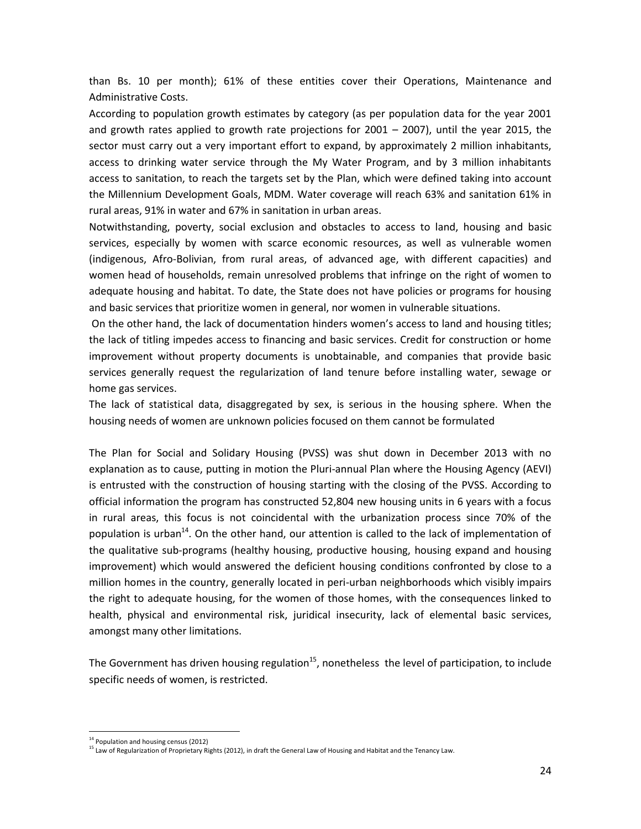than Bs. 10 per month); 61% of these entities cover their Operations, Maintenance and Administrative Costs.

According to population growth estimates by category (as per population data for the year 2001 and growth rates applied to growth rate projections for  $2001 - 2007$ ), until the year 2015, the sector must carry out a very important effort to expand, by approximately 2 million inhabitants, access to drinking water service through the My Water Program, and by 3 million inhabitants access to sanitation, to reach the targets set by the Plan, which were defined taking into account the Millennium Development Goals, MDM. Water coverage will reach 63% and sanitation 61% in rural areas, 91% in water and 67% in sanitation in urban areas.

Notwithstanding, poverty, social exclusion and obstacles to access to land, housing and basic services, especially by women with scarce economic resources, as well as vulnerable women (indigenous, Afro-Bolivian, from rural areas, of advanced age, with different capacities) and women head of households, remain unresolved problems that infringe on the right of women to adequate housing and habitat. To date, the State does not have policies or programs for housing and basic services that prioritize women in general, nor women in vulnerable situations.

On the other hand, the lack of documentation hinders women's access to land and housing titles; the lack of titling impedes access to financing and basic services. Credit for construction or home improvement without property documents is unobtainable, and companies that provide basic services generally request the regularization of land tenure before installing water, sewage or home gas services.

The lack of statistical data, disaggregated by sex, is serious in the housing sphere. When the housing needs of women are unknown policies focused on them cannot be formulated

The Plan for Social and Solidary Housing (PVSS) was shut down in December 2013 with no explanation as to cause, putting in motion the Pluri-annual Plan where the Housing Agency (AEVI) is entrusted with the construction of housing starting with the closing of the PVSS. According to official information the program has constructed 52,804 new housing units in 6 years with a focus in rural areas, this focus is not coincidental with the urbanization process since 70% of the population is urban<sup>14</sup>. On the other hand, our attention is called to the lack of implementation of the qualitative sub-programs (healthy housing, productive housing, housing expand and housing improvement) which would answered the deficient housing conditions confronted by close to a million homes in the country, generally located in peri-urban neighborhoods which visibly impairs the right to adequate housing, for the women of those homes, with the consequences linked to health, physical and environmental risk, juridical insecurity, lack of elemental basic services, amongst many other limitations.

The Government has driven housing regulation<sup>15</sup>, nonetheless the level of participation, to include specific needs of women, is restricted.

 $\overline{a}$ 

<sup>&</sup>lt;sup>14</sup> Population and housing census (2012)

<sup>15</sup> Law of Regularization of Proprietary Rights (2012), in draft the General Law of Housing and Habitat and the Tenancy Law.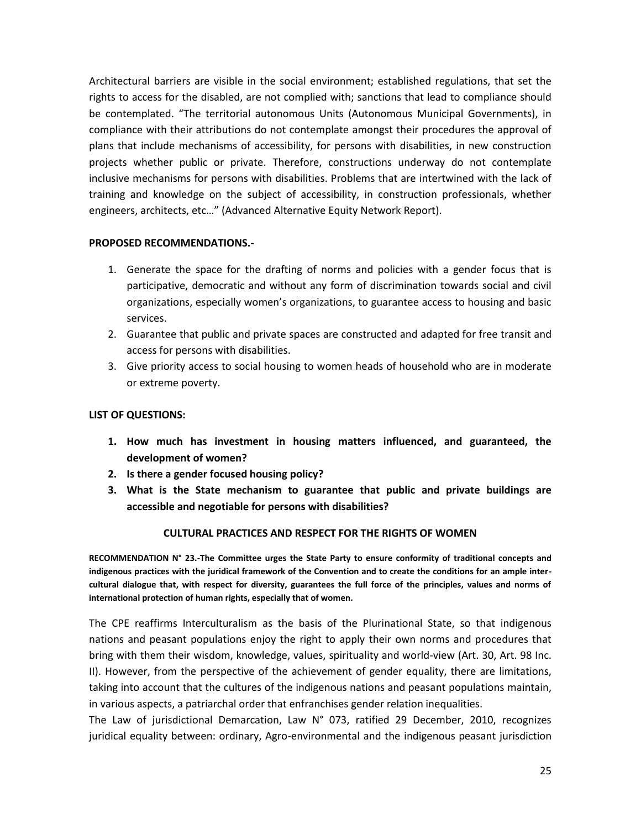Architectural barriers are visible in the social environment; established regulations, that set the rights to access for the disabled, are not complied with; sanctions that lead to compliance should be contemplated. "The territorial autonomous Units (Autonomous Municipal Governments), in compliance with their attributions do not contemplate amongst their procedures the approval of plans that include mechanisms of accessibility, for persons with disabilities, in new construction projects whether public or private. Therefore, constructions underway do not contemplate inclusive mechanisms for persons with disabilities. Problems that are intertwined with the lack of training and knowledge on the subject of accessibility, in construction professionals, whether engineers, architects, etc…" (Advanced Alternative Equity Network Report).

#### **PROPOSED RECOMMENDATIONS.-**

- 1. Generate the space for the drafting of norms and policies with a gender focus that is participative, democratic and without any form of discrimination towards social and civil organizations, especially women's organizations, to guarantee access to housing and basic services.
- 2. Guarantee that public and private spaces are constructed and adapted for free transit and access for persons with disabilities.
- 3. Give priority access to social housing to women heads of household who are in moderate or extreme poverty.

# **LIST OF QUESTIONS:**

- **1. How much has investment in housing matters influenced, and guaranteed, the development of women?**
- **2. Is there a gender focused housing policy?**
- **3. What is the State mechanism to guarantee that public and private buildings are accessible and negotiable for persons with disabilities?**

#### **CULTURAL PRACTICES AND RESPECT FOR THE RIGHTS OF WOMEN**

**RECOMMENDATION N° 23.-The Committee urges the State Party to ensure conformity of traditional concepts and indigenous practices with the juridical framework of the Convention and to create the conditions for an ample intercultural dialogue that, with respect for diversity, guarantees the full force of the principles, values and norms of international protection of human rights, especially that of women.**

The CPE reaffirms Interculturalism as the basis of the Plurinational State, so that indigenous nations and peasant populations enjoy the right to apply their own norms and procedures that bring with them their wisdom, knowledge, values, spirituality and world-view (Art. 30, Art. 98 Inc. II). However, from the perspective of the achievement of gender equality, there are limitations, taking into account that the cultures of the indigenous nations and peasant populations maintain, in various aspects, a patriarchal order that enfranchises gender relation inequalities.

The Law of jurisdictional Demarcation, Law N° 073, ratified 29 December, 2010, recognizes juridical equality between: ordinary, Agro-environmental and the indigenous peasant jurisdiction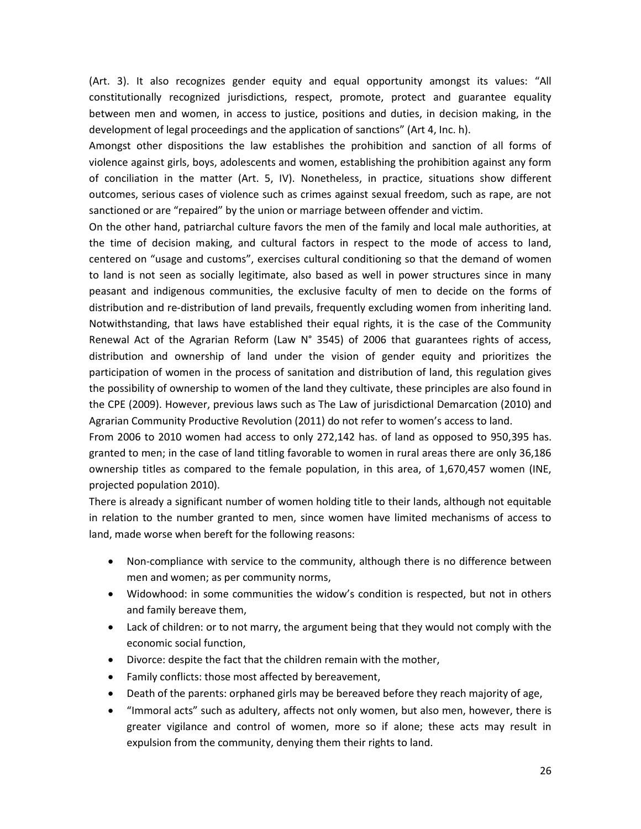(Art. 3). It also recognizes gender equity and equal opportunity amongst its values: "All constitutionally recognized jurisdictions, respect, promote, protect and guarantee equality between men and women, in access to justice, positions and duties, in decision making, in the development of legal proceedings and the application of sanctions" (Art 4, Inc. h).

Amongst other dispositions the law establishes the prohibition and sanction of all forms of violence against girls, boys, adolescents and women, establishing the prohibition against any form of conciliation in the matter (Art. 5, IV). Nonetheless, in practice, situations show different outcomes, serious cases of violence such as crimes against sexual freedom, such as rape, are not sanctioned or are "repaired" by the union or marriage between offender and victim.

On the other hand, patriarchal culture favors the men of the family and local male authorities, at the time of decision making, and cultural factors in respect to the mode of access to land, centered on "usage and customs", exercises cultural conditioning so that the demand of women to land is not seen as socially legitimate, also based as well in power structures since in many peasant and indigenous communities, the exclusive faculty of men to decide on the forms of distribution and re-distribution of land prevails, frequently excluding women from inheriting land. Notwithstanding, that laws have established their equal rights, it is the case of the Community Renewal Act of the Agrarian Reform (Law N° 3545) of 2006 that guarantees rights of access, distribution and ownership of land under the vision of gender equity and prioritizes the participation of women in the process of sanitation and distribution of land, this regulation gives the possibility of ownership to women of the land they cultivate, these principles are also found in the CPE (2009). However, previous laws such as The Law of jurisdictional Demarcation (2010) and Agrarian Community Productive Revolution (2011) do not refer to women's access to land.

From 2006 to 2010 women had access to only 272,142 has. of land as opposed to 950,395 has. granted to men; in the case of land titling favorable to women in rural areas there are only 36,186 ownership titles as compared to the female population, in this area, of 1,670,457 women (INE, projected population 2010).

There is already a significant number of women holding title to their lands, although not equitable in relation to the number granted to men, since women have limited mechanisms of access to land, made worse when bereft for the following reasons:

- Non-compliance with service to the community, although there is no difference between men and women; as per community norms,
- Widowhood: in some communities the widow's condition is respected, but not in others and family bereave them,
- Lack of children: or to not marry, the argument being that they would not comply with the economic social function,
- Divorce: despite the fact that the children remain with the mother,
- Family conflicts: those most affected by bereavement,
- Death of the parents: orphaned girls may be bereaved before they reach majority of age,
- "Immoral acts" such as adultery, affects not only women, but also men, however, there is greater vigilance and control of women, more so if alone; these acts may result in expulsion from the community, denying them their rights to land.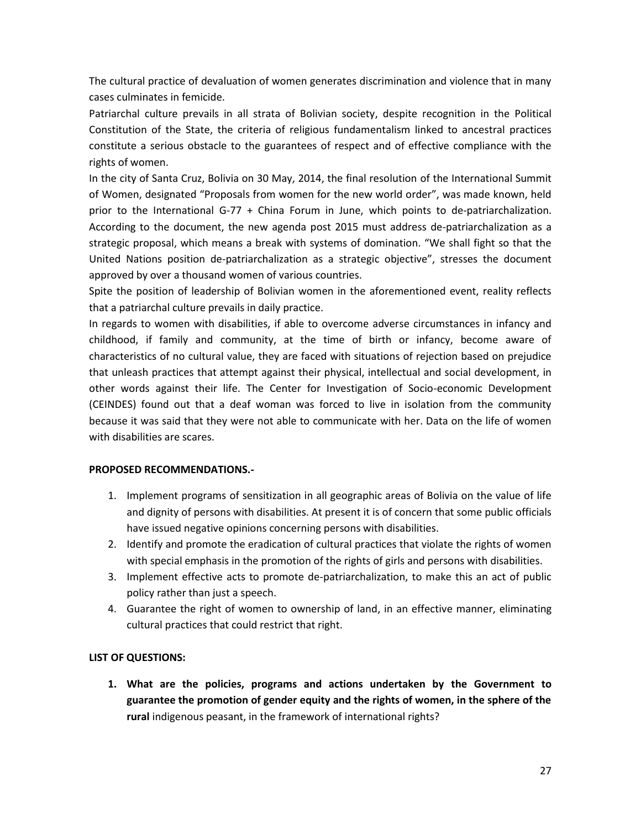The cultural practice of devaluation of women generates discrimination and violence that in many cases culminates in femicide.

Patriarchal culture prevails in all strata of Bolivian society, despite recognition in the Political Constitution of the State, the criteria of religious fundamentalism linked to ancestral practices constitute a serious obstacle to the guarantees of respect and of effective compliance with the rights of women.

In the city of Santa Cruz, Bolivia on 30 May, 2014, the final resolution of the International Summit of Women, designated "Proposals from women for the new world order", was made known, held prior to the International G-77 + China Forum in June, which points to de-patriarchalization. According to the document, the new agenda post 2015 must address de-patriarchalization as a strategic proposal, which means a break with systems of domination. "We shall fight so that the United Nations position de-patriarchalization as a strategic objective", stresses the document approved by over a thousand women of various countries.

Spite the position of leadership of Bolivian women in the aforementioned event, reality reflects that a patriarchal culture prevails in daily practice.

In regards to women with disabilities, if able to overcome adverse circumstances in infancy and childhood, if family and community, at the time of birth or infancy, become aware of characteristics of no cultural value, they are faced with situations of rejection based on prejudice that unleash practices that attempt against their physical, intellectual and social development, in other words against their life. The Center for Investigation of Socio-economic Development (CEINDES) found out that a deaf woman was forced to live in isolation from the community because it was said that they were not able to communicate with her. Data on the life of women with disabilities are scares.

# **PROPOSED RECOMMENDATIONS.-**

- 1. Implement programs of sensitization in all geographic areas of Bolivia on the value of life and dignity of persons with disabilities. At present it is of concern that some public officials have issued negative opinions concerning persons with disabilities.
- 2. Identify and promote the eradication of cultural practices that violate the rights of women with special emphasis in the promotion of the rights of girls and persons with disabilities.
- 3. Implement effective acts to promote de-patriarchalization, to make this an act of public policy rather than just a speech.
- 4. Guarantee the right of women to ownership of land, in an effective manner, eliminating cultural practices that could restrict that right.

# **LIST OF QUESTIONS:**

**1. What are the policies, programs and actions undertaken by the Government to guarantee the promotion of gender equity and the rights of women, in the sphere of the rural** indigenous peasant, in the framework of international rights?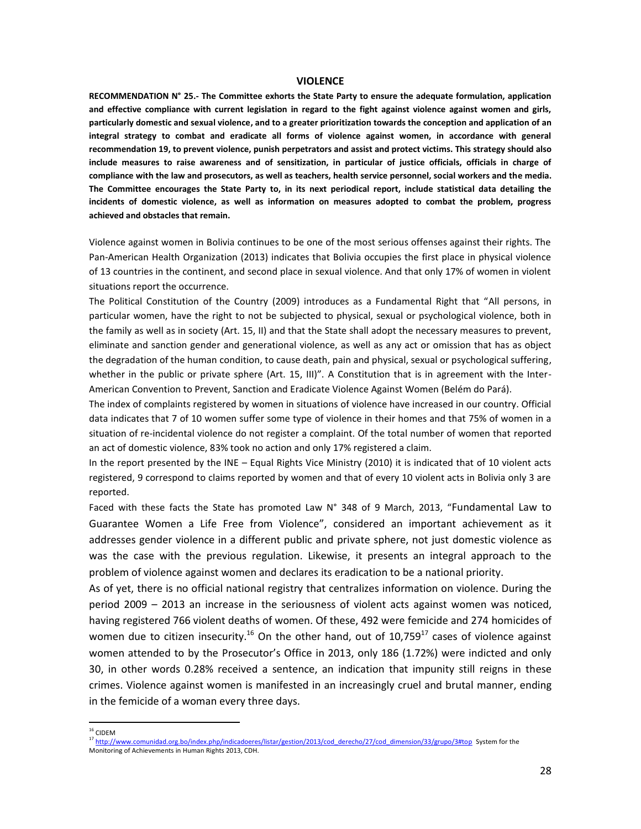#### **VIOLENCE**

**RECOMMENDATION N° 25.- The Committee exhorts the State Party to ensure the adequate formulation, application and effective compliance with current legislation in regard to the fight against violence against women and girls, particularly domestic and sexual violence, and to a greater prioritization towards the conception and application of an integral strategy to combat and eradicate all forms of violence against women, in accordance with general recommendation 19, to prevent violence, punish perpetrators and assist and protect victims. This strategy should also include measures to raise awareness and of sensitization, in particular of justice officials, officials in charge of compliance with the law and prosecutors, as well as teachers, health service personnel, social workers and the media. The Committee encourages the State Party to, in its next periodical report, include statistical data detailing the incidents of domestic violence, as well as information on measures adopted to combat the problem, progress achieved and obstacles that remain.**

Violence against women in Bolivia continues to be one of the most serious offenses against their rights. The Pan-American Health Organization (2013) indicates that Bolivia occupies the first place in physical violence of 13 countries in the continent, and second place in sexual violence. And that only 17% of women in violent situations report the occurrence.

The Political Constitution of the Country (2009) introduces as a Fundamental Right that "All persons, in particular women, have the right to not be subjected to physical, sexual or psychological violence, both in the family as well as in society (Art. 15, II) and that the State shall adopt the necessary measures to prevent, eliminate and sanction gender and generational violence, as well as any act or omission that has as object the degradation of the human condition, to cause death, pain and physical, sexual or psychological suffering, whether in the public or private sphere (Art. 15, III)". A Constitution that is in agreement with the Inter-American Convention to Prevent, Sanction and Eradicate Violence Against Women (Belém do Pará).

The index of complaints registered by women in situations of violence have increased in our country. Official data indicates that 7 of 10 women suffer some type of violence in their homes and that 75% of women in a situation of re-incidental violence do not register a complaint. Of the total number of women that reported an act of domestic violence, 83% took no action and only 17% registered a claim.

In the report presented by the INE – Equal Rights Vice Ministry (2010) it is indicated that of 10 violent acts registered, 9 correspond to claims reported by women and that of every 10 violent acts in Bolivia only 3 are reported.

Faced with these facts the State has promoted Law N° 348 of 9 March, 2013, "Fundamental Law to Guarantee Women a Life Free from Violence", considered an important achievement as it addresses gender violence in a different public and private sphere, not just domestic violence as was the case with the previous regulation. Likewise, it presents an integral approach to the problem of violence against women and declares its eradication to be a national priority.

As of yet, there is no official national registry that centralizes information on violence. During the period 2009 – 2013 an increase in the seriousness of violent acts against women was noticed, having registered 766 violent deaths of women. Of these, 492 were femicide and 274 homicides of women due to citizen insecurity.<sup>16</sup> On the other hand, out of 10,759<sup>17</sup> cases of violence against women attended to by the Prosecutor's Office in 2013, only 186 (1.72%) were indicted and only 30, in other words 0.28% received a sentence, an indication that impunity still reigns in these crimes. Violence against women is manifested in an increasingly cruel and brutal manner, ending in the femicide of a woman every three days.

 $\overline{a}$ 

 $16$  CIDEM

<sup>&</sup>lt;sup>17</sup> [http://www.comunidad.org.bo/index.php/indicadoeres/listar/gestion/2013/cod\\_derecho/27/cod\\_dimension/33/grupo/3#top](http://www.comunidad.org.bo/index.php/indicadoeres/listar/gestion/2013/cod_derecho/27/cod_dimension/33/grupo/3#top) System for the Monitoring of Achievements in Human Rights 2013, CDH.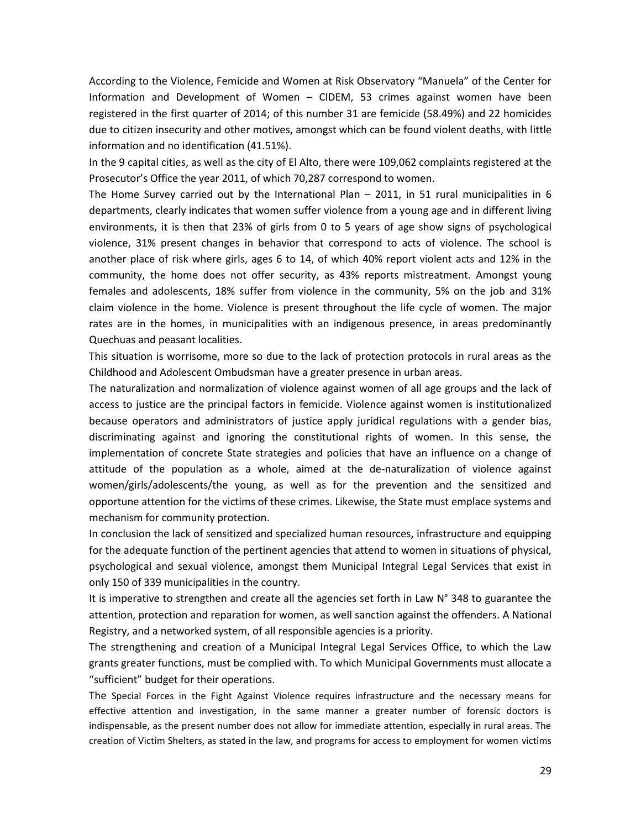According to the Violence, Femicide and Women at Risk Observatory "Manuela" of the Center for Information and Development of Women – CIDEM, 53 crimes against women have been registered in the first quarter of 2014; of this number 31 are femicide (58.49%) and 22 homicides due to citizen insecurity and other motives, amongst which can be found violent deaths, with little information and no identification (41.51%).

In the 9 capital cities, as well as the city of El Alto, there were 109,062 complaints registered at the Prosecutor's Office the year 2011, of which 70,287 correspond to women.

The Home Survey carried out by the International Plan – 2011, in 51 rural municipalities in 6 departments, clearly indicates that women suffer violence from a young age and in different living environments, it is then that 23% of girls from 0 to 5 years of age show signs of psychological violence, 31% present changes in behavior that correspond to acts of violence. The school is another place of risk where girls, ages 6 to 14, of which 40% report violent acts and 12% in the community, the home does not offer security, as 43% reports mistreatment. Amongst young females and adolescents, 18% suffer from violence in the community, 5% on the job and 31% claim violence in the home. Violence is present throughout the life cycle of women. The major rates are in the homes, in municipalities with an indigenous presence, in areas predominantly Quechuas and peasant localities.

This situation is worrisome, more so due to the lack of protection protocols in rural areas as the Childhood and Adolescent Ombudsman have a greater presence in urban areas.

The naturalization and normalization of violence against women of all age groups and the lack of access to justice are the principal factors in femicide. Violence against women is institutionalized because operators and administrators of justice apply juridical regulations with a gender bias, discriminating against and ignoring the constitutional rights of women. In this sense, the implementation of concrete State strategies and policies that have an influence on a change of attitude of the population as a whole, aimed at the de-naturalization of violence against women/girls/adolescents/the young, as well as for the prevention and the sensitized and opportune attention for the victims of these crimes. Likewise, the State must emplace systems and mechanism for community protection.

In conclusion the lack of sensitized and specialized human resources, infrastructure and equipping for the adequate function of the pertinent agencies that attend to women in situations of physical, psychological and sexual violence, amongst them Municipal Integral Legal Services that exist in only 150 of 339 municipalities in the country.

It is imperative to strengthen and create all the agencies set forth in Law N° 348 to guarantee the attention, protection and reparation for women, as well sanction against the offenders. A National Registry, and a networked system, of all responsible agencies is a priority.

The strengthening and creation of a Municipal Integral Legal Services Office, to which the Law grants greater functions, must be complied with. To which Municipal Governments must allocate a "sufficient" budget for their operations.

The Special Forces in the Fight Against Violence requires infrastructure and the necessary means for effective attention and investigation, in the same manner a greater number of forensic doctors is indispensable, as the present number does not allow for immediate attention, especially in rural areas. The creation of Victim Shelters, as stated in the law, and programs for access to employment for women victims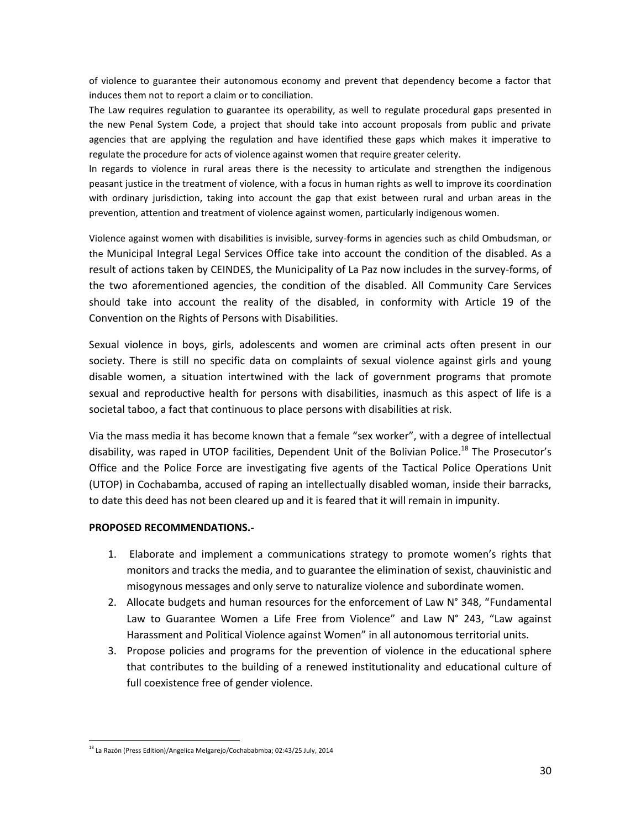of violence to guarantee their autonomous economy and prevent that dependency become a factor that induces them not to report a claim or to conciliation.

The Law requires regulation to guarantee its operability, as well to regulate procedural gaps presented in the new Penal System Code, a project that should take into account proposals from public and private agencies that are applying the regulation and have identified these gaps which makes it imperative to regulate the procedure for acts of violence against women that require greater celerity.

In regards to violence in rural areas there is the necessity to articulate and strengthen the indigenous peasant justice in the treatment of violence, with a focus in human rights as well to improve its coordination with ordinary jurisdiction, taking into account the gap that exist between rural and urban areas in the prevention, attention and treatment of violence against women, particularly indigenous women.

Violence against women with disabilities is invisible, survey-forms in agencies such as child Ombudsman, or the Municipal Integral Legal Services Office take into account the condition of the disabled. As a result of actions taken by CEINDES, the Municipality of La Paz now includes in the survey-forms, of the two aforementioned agencies, the condition of the disabled. All Community Care Services should take into account the reality of the disabled, in conformity with Article 19 of the Convention on the Rights of Persons with Disabilities.

Sexual violence in boys, girls, adolescents and women are criminal acts often present in our society. There is still no specific data on complaints of sexual violence against girls and young disable women, a situation intertwined with the lack of government programs that promote sexual and reproductive health for persons with disabilities, inasmuch as this aspect of life is a societal taboo, a fact that continuous to place persons with disabilities at risk.

Via the mass media it has become known that a female "sex worker", with a degree of intellectual disability, was raped in UTOP facilities, Dependent Unit of the Bolivian Police.<sup>18</sup> The Prosecutor's Office and the Police Force are investigating five agents of the Tactical Police Operations Unit (UTOP) in Cochabamba, accused of raping an intellectually disabled woman, inside their barracks, to date this deed has not been cleared up and it is feared that it will remain in impunity.

# **PROPOSED RECOMMENDATIONS.-**

- 1. Elaborate and implement a communications strategy to promote women's rights that monitors and tracks the media, and to guarantee the elimination of sexist, chauvinistic and misogynous messages and only serve to naturalize violence and subordinate women.
- 2. Allocate budgets and human resources for the enforcement of Law N° 348, "Fundamental Law to Guarantee Women a Life Free from Violence" and Law N° 243, "Law against Harassment and Political Violence against Women" in all autonomous territorial units.
- 3. Propose policies and programs for the prevention of violence in the educational sphere that contributes to the building of a renewed institutionality and educational culture of full coexistence free of gender violence.

 $\overline{a}$ <sup>18</sup> La Razón (Press Edition)/Angelica Melgarejo/Cochababmba; 02:43/25 July, 2014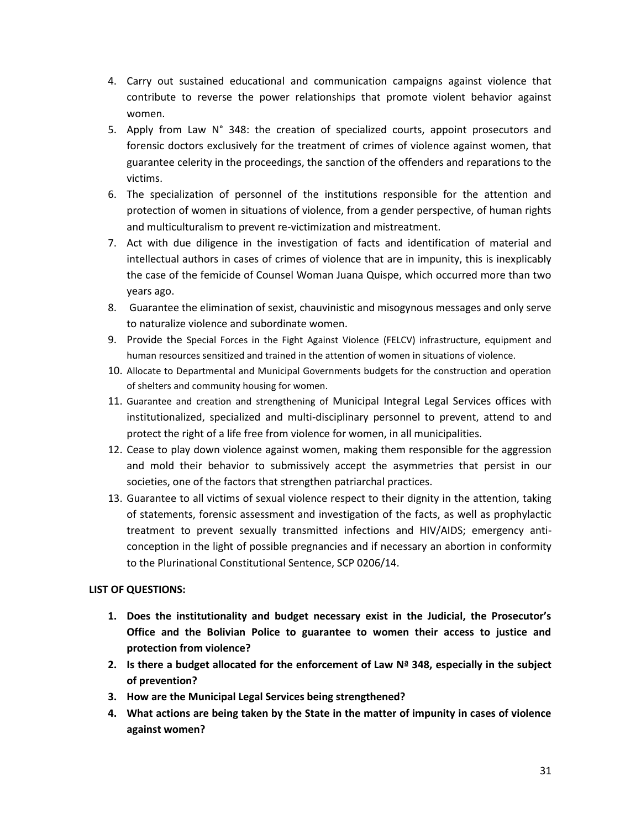- 4. Carry out sustained educational and communication campaigns against violence that contribute to reverse the power relationships that promote violent behavior against women.
- 5. Apply from Law N° 348: the creation of specialized courts, appoint prosecutors and forensic doctors exclusively for the treatment of crimes of violence against women, that guarantee celerity in the proceedings, the sanction of the offenders and reparations to the victims.
- 6. The specialization of personnel of the institutions responsible for the attention and protection of women in situations of violence, from a gender perspective, of human rights and multiculturalism to prevent re-victimization and mistreatment.
- 7. Act with due diligence in the investigation of facts and identification of material and intellectual authors in cases of crimes of violence that are in impunity, this is inexplicably the case of the femicide of Counsel Woman Juana Quispe, which occurred more than two years ago.
- 8. Guarantee the elimination of sexist, chauvinistic and misogynous messages and only serve to naturalize violence and subordinate women.
- 9. Provide the Special Forces in the Fight Against Violence (FELCV) infrastructure, equipment and human resources sensitized and trained in the attention of women in situations of violence.
- 10. Allocate to Departmental and Municipal Governments budgets for the construction and operation of shelters and community housing for women.
- 11. Guarantee and creation and strengthening of Municipal Integral Legal Services offices with institutionalized, specialized and multi-disciplinary personnel to prevent, attend to and protect the right of a life free from violence for women, in all municipalities.
- 12. Cease to play down violence against women, making them responsible for the aggression and mold their behavior to submissively accept the asymmetries that persist in our societies, one of the factors that strengthen patriarchal practices.
- 13. Guarantee to all victims of sexual violence respect to their dignity in the attention, taking of statements, forensic assessment and investigation of the facts, as well as prophylactic treatment to prevent sexually transmitted infections and HIV/AIDS; emergency anticonception in the light of possible pregnancies and if necessary an abortion in conformity to the Plurinational Constitutional Sentence, SCP 0206/14.

# **LIST OF QUESTIONS:**

- **1. Does the institutionality and budget necessary exist in the Judicial, the Prosecutor's Office and the Bolivian Police to guarantee to women their access to justice and protection from violence?**
- **2. Is there a budget allocated for the enforcement of Law Nª 348, especially in the subject of prevention?**
- **3. How are the Municipal Legal Services being strengthened?**
- **4. What actions are being taken by the State in the matter of impunity in cases of violence against women?**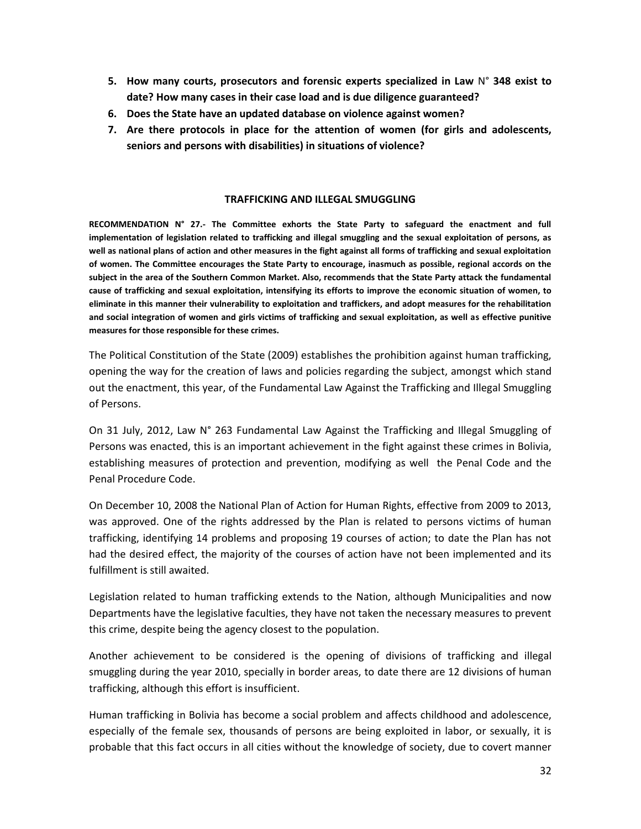- **5. How many courts, prosecutors and forensic experts specialized in Law** N° **348 exist to date? How many cases in their case load and is due diligence guaranteed?**
- **6. Does the State have an updated database on violence against women?**
- **7. Are there protocols in place for the attention of women (for girls and adolescents, seniors and persons with disabilities) in situations of violence?**

#### **TRAFFICKING AND ILLEGAL SMUGGLING**

**RECOMMENDATION N° 27.- The Committee exhorts the State Party to safeguard the enactment and full implementation of legislation related to trafficking and illegal smuggling and the sexual exploitation of persons, as well as national plans of action and other measures in the fight against all forms of trafficking and sexual exploitation of women. The Committee encourages the State Party to encourage, inasmuch as possible, regional accords on the subject in the area of the Southern Common Market. Also, recommends that the State Party attack the fundamental cause of trafficking and sexual exploitation, intensifying its efforts to improve the economic situation of women, to eliminate in this manner their vulnerability to exploitation and traffickers, and adopt measures for the rehabilitation and social integration of women and girls victims of trafficking and sexual exploitation, as well as effective punitive measures for those responsible for these crimes.**

The Political Constitution of the State (2009) establishes the prohibition against human trafficking, opening the way for the creation of laws and policies regarding the subject, amongst which stand out the enactment, this year, of the Fundamental Law Against the Trafficking and Illegal Smuggling of Persons.

On 31 July, 2012, Law N° 263 Fundamental Law Against the Trafficking and Illegal Smuggling of Persons was enacted, this is an important achievement in the fight against these crimes in Bolivia, establishing measures of protection and prevention, modifying as well the Penal Code and the Penal Procedure Code.

On December 10, 2008 the National Plan of Action for Human Rights, effective from 2009 to 2013, was approved. One of the rights addressed by the Plan is related to persons victims of human trafficking, identifying 14 problems and proposing 19 courses of action; to date the Plan has not had the desired effect, the majority of the courses of action have not been implemented and its fulfillment is still awaited.

Legislation related to human trafficking extends to the Nation, although Municipalities and now Departments have the legislative faculties, they have not taken the necessary measures to prevent this crime, despite being the agency closest to the population.

Another achievement to be considered is the opening of divisions of trafficking and illegal smuggling during the year 2010, specially in border areas, to date there are 12 divisions of human trafficking, although this effort is insufficient.

Human trafficking in Bolivia has become a social problem and affects childhood and adolescence, especially of the female sex, thousands of persons are being exploited in labor, or sexually, it is probable that this fact occurs in all cities without the knowledge of society, due to covert manner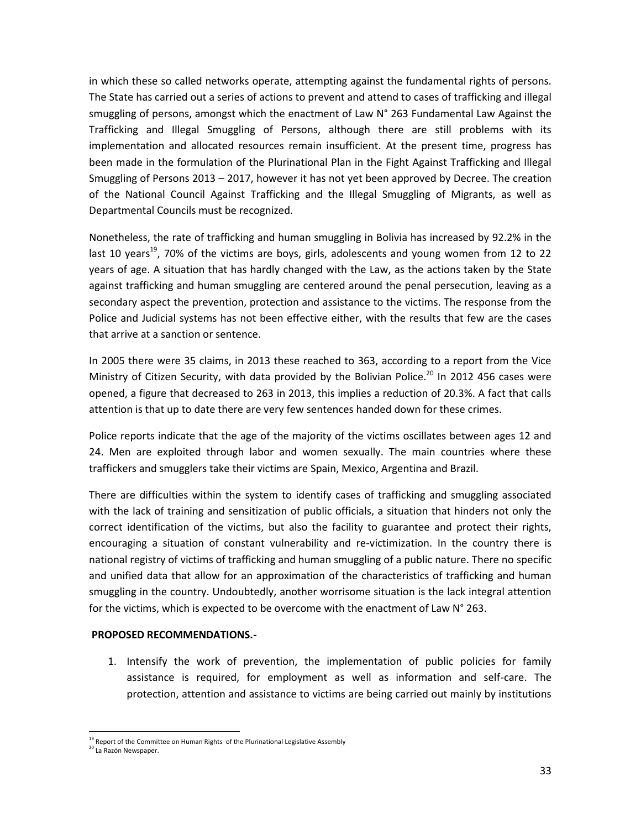in which these so called networks operate, attempting against the fundamental rights of persons. The State has carried out a series of actions to prevent and attend to cases of trafficking and illegal smuggling of persons, amongst which the enactment of Law N° 263 Fundamental Law Against the Trafficking and Illegal Smuggling of Persons, although there are still problems with its implementation and allocated resources remain insufficient. At the present time, progress has been made in the formulation of the Plurinational Plan in the Fight Against Trafficking and Illegal Smuggling of Persons 2013 – 2017, however it has not yet been approved by Decree. The creation of the National Council Against Trafficking and the Illegal Smuggling of Migrants, as well as Departmental Councils must be recognized.

Nonetheless, the rate of trafficking and human smuggling in Bolivia has increased by 92.2% in the last 10 years<sup>19</sup>, 70% of the victims are boys, girls, adolescents and young women from 12 to 22 years of age. A situation that has hardly changed with the Law, as the actions taken by the State against trafficking and human smuggling are centered around the penal persecution, leaving as a secondary aspect the prevention, protection and assistance to the victims. The response from the Police and Judicial systems has not been effective either, with the results that few are the cases that arrive at a sanction or sentence.

In 2005 there were 35 claims, in 2013 these reached to 363, according to a report from the Vice Ministry of Citizen Security, with data provided by the Bolivian Police.<sup>20</sup> In 2012 456 cases were opened, a figure that decreased to 263 in 2013, this implies a reduction of 20.3%. A fact that calls attention is that up to date there are very few sentences handed down for these crimes.

Police reports indicate that the age of the majority of the victims oscillates between ages 12 and 24. Men are exploited through labor and women sexually. The main countries where these traffickers and smugglers take their victims are Spain, Mexico, Argentina and Brazil.

There are difficulties within the system to identify cases of trafficking and smuggling associated with the lack of training and sensitization of public officials, a situation that hinders not only the correct identification of the victims, but also the facility to guarantee and protect their rights, encouraging a situation of constant vulnerability and re-victimization. In the country there is national registry of victims of trafficking and human smuggling of a public nature. There no specific and unified data that allow for an approximation of the characteristics of trafficking and human smuggling in the country. Undoubtedly, another worrisome situation is the lack integral attention for the victims, which is expected to be overcome with the enactment of Law N° 263.

# **PROPOSED RECOMMENDATIONS.-**

1. Intensify the work of prevention, the implementation of public policies for family assistance is required, for employment as well as information and self-care. The protection, attention and assistance to victims are being carried out mainly by institutions

 $\overline{a}$ 

<sup>&</sup>lt;sup>19</sup> Report of the Committee on Human Rights of the Plurinational Legislative Assembly

<sup>20</sup> La Razón Newspaper.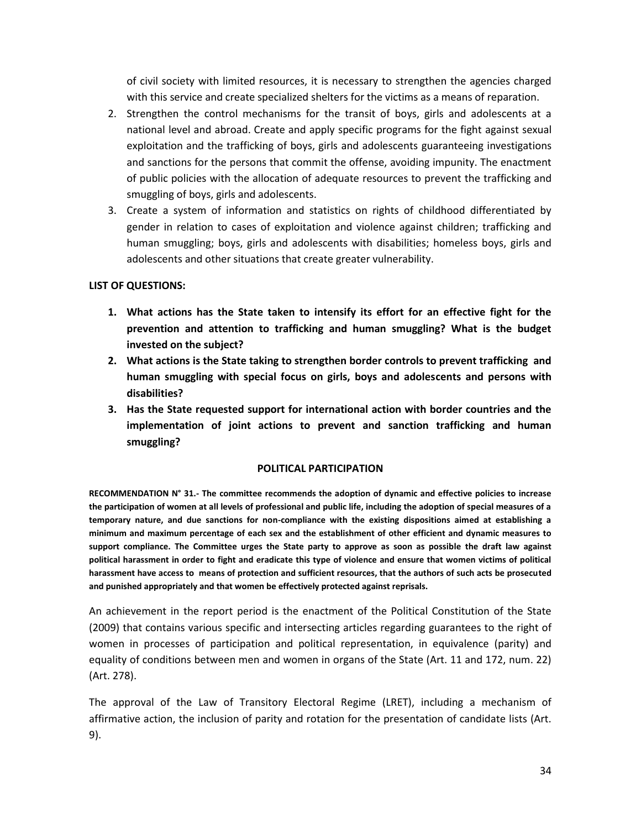of civil society with limited resources, it is necessary to strengthen the agencies charged with this service and create specialized shelters for the victims as a means of reparation.

- 2. Strengthen the control mechanisms for the transit of boys, girls and adolescents at a national level and abroad. Create and apply specific programs for the fight against sexual exploitation and the trafficking of boys, girls and adolescents guaranteeing investigations and sanctions for the persons that commit the offense, avoiding impunity. The enactment of public policies with the allocation of adequate resources to prevent the trafficking and smuggling of boys, girls and adolescents.
- 3. Create a system of information and statistics on rights of childhood differentiated by gender in relation to cases of exploitation and violence against children; trafficking and human smuggling; boys, girls and adolescents with disabilities; homeless boys, girls and adolescents and other situations that create greater vulnerability.

# **LIST OF QUESTIONS:**

- **1. What actions has the State taken to intensify its effort for an effective fight for the prevention and attention to trafficking and human smuggling? What is the budget invested on the subject?**
- **2. What actions is the State taking to strengthen border controls to prevent trafficking and human smuggling with special focus on girls, boys and adolescents and persons with disabilities?**
- **3. Has the State requested support for international action with border countries and the implementation of joint actions to prevent and sanction trafficking and human smuggling?**

# **POLITICAL PARTICIPATION**

**RECOMMENDATION N° 31.- The committee recommends the adoption of dynamic and effective policies to increase the participation of women at all levels of professional and public life, including the adoption of special measures of a temporary nature, and due sanctions for non-compliance with the existing dispositions aimed at establishing a minimum and maximum percentage of each sex and the establishment of other efficient and dynamic measures to support compliance. The Committee urges the State party to approve as soon as possible the draft law against political harassment in order to fight and eradicate this type of violence and ensure that women victims of political harassment have access to means of protection and sufficient resources, that the authors of such acts be prosecuted and punished appropriately and that women be effectively protected against reprisals.**

An achievement in the report period is the enactment of the Political Constitution of the State (2009) that contains various specific and intersecting articles regarding guarantees to the right of women in processes of participation and political representation, in equivalence (parity) and equality of conditions between men and women in organs of the State (Art. 11 and 172, num. 22) (Art. 278).

The approval of the Law of Transitory Electoral Regime (LRET), including a mechanism of affirmative action, the inclusion of parity and rotation for the presentation of candidate lists (Art. 9).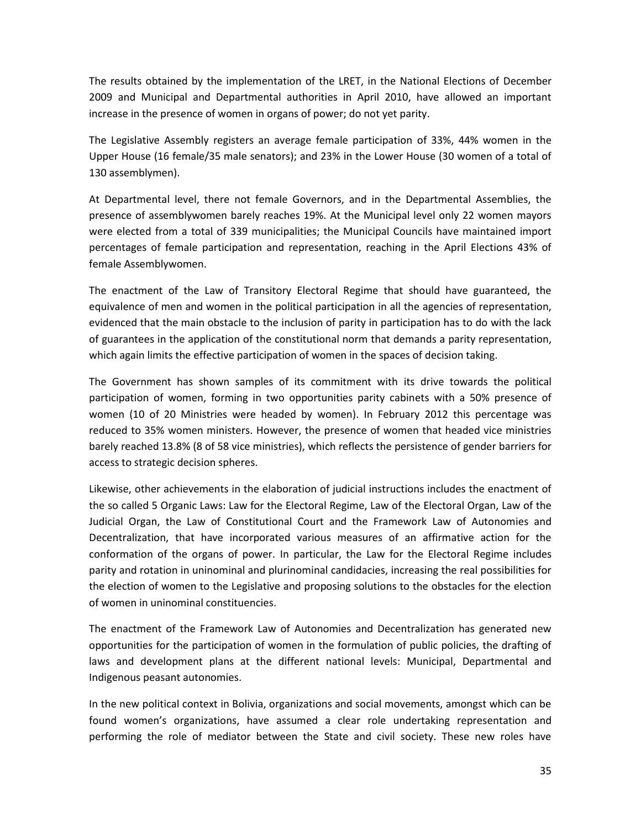The results obtained by the implementation of the LRET, in the National Elections of December 2009 and Municipal and Departmental authorities in April 2010, have allowed an important increase in the presence of women in organs of power; do not yet parity.

The Legislative Assembly registers an average female participation of 33%, 44% women in the Upper House (16 female/35 male senators); and 23% in the Lower House (30 women of a total of 130 assemblymen).

At Departmental level, there not female Governors, and in the Departmental Assemblies, the presence of assemblywomen barely reaches 19%. At the Municipal level only 22 women mayors were elected from a total of 339 municipalities; the Municipal Councils have maintained import percentages of female participation and representation, reaching in the April Elections 43% of female Assemblywomen.

The enactment of the Law of Transitory Electoral Regime that should have guaranteed, the equivalence of men and women in the political participation in all the agencies of representation, evidenced that the main obstacle to the inclusion of parity in participation has to do with the lack of guarantees in the application of the constitutional norm that demands a parity representation, which again limits the effective participation of women in the spaces of decision taking.

The Government has shown samples of its commitment with its drive towards the political participation of women, forming in two opportunities parity cabinets with a 50% presence of women (10 of 20 Ministries were headed by women). In February 2012 this percentage was reduced to 35% women ministers. However, the presence of women that headed vice ministries barely reached 13.8% (8 of 58 vice ministries), which reflects the persistence of gender barriers for access to strategic decision spheres.

Likewise, other achievements in the elaboration of judicial instructions includes the enactment of the so called 5 Organic Laws: Law for the Electoral Regime, Law of the Electoral Organ, Law of the Judicial Organ, the Law of Constitutional Court and the Framework Law of Autonomies and Decentralization, that have incorporated various measures of an affirmative action for the conformation of the organs of power. In particular, the Law for the Electoral Regime includes parity and rotation in uninominal and plurinominal candidacies, increasing the real possibilities for the election of women to the Legislative and proposing solutions to the obstacles for the election of women in uninominal constituencies.

The enactment of the Framework Law of Autonomies and Decentralization has generated new opportunities for the participation of women in the formulation of public policies, the drafting of laws and development plans at the different national levels: Municipal, Departmental and Indigenous peasant autonomies.

In the new political context in Bolivia, organizations and social movements, amongst which can be found women's organizations, have assumed a clear role undertaking representation and performing the role of mediator between the State and civil society. These new roles have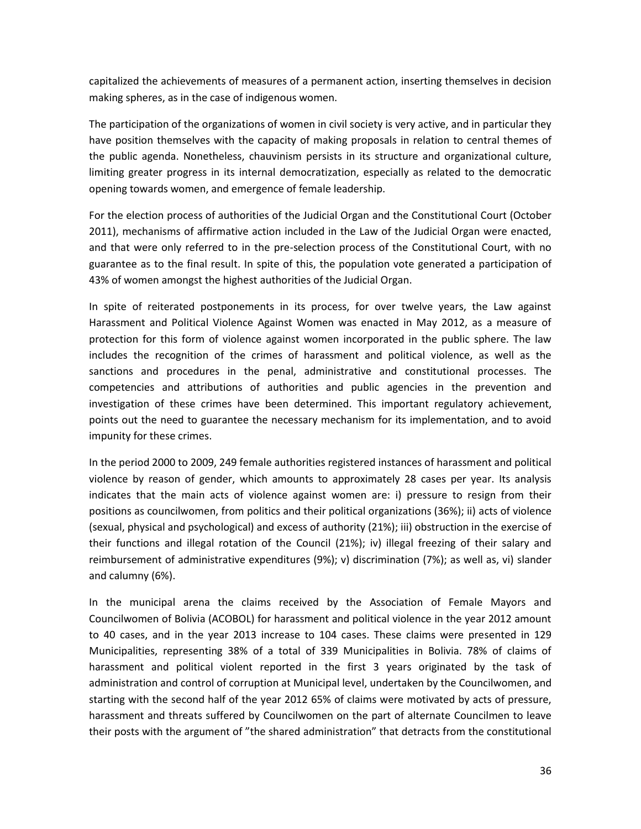capitalized the achievements of measures of a permanent action, inserting themselves in decision making spheres, as in the case of indigenous women.

The participation of the organizations of women in civil society is very active, and in particular they have position themselves with the capacity of making proposals in relation to central themes of the public agenda. Nonetheless, chauvinism persists in its structure and organizational culture, limiting greater progress in its internal democratization, especially as related to the democratic opening towards women, and emergence of female leadership.

For the election process of authorities of the Judicial Organ and the Constitutional Court (October 2011), mechanisms of affirmative action included in the Law of the Judicial Organ were enacted, and that were only referred to in the pre-selection process of the Constitutional Court, with no guarantee as to the final result. In spite of this, the population vote generated a participation of 43% of women amongst the highest authorities of the Judicial Organ.

In spite of reiterated postponements in its process, for over twelve years, the Law against Harassment and Political Violence Against Women was enacted in May 2012, as a measure of protection for this form of violence against women incorporated in the public sphere. The law includes the recognition of the crimes of harassment and political violence, as well as the sanctions and procedures in the penal, administrative and constitutional processes. The competencies and attributions of authorities and public agencies in the prevention and investigation of these crimes have been determined. This important regulatory achievement, points out the need to guarantee the necessary mechanism for its implementation, and to avoid impunity for these crimes.

In the period 2000 to 2009, 249 female authorities registered instances of harassment and political violence by reason of gender, which amounts to approximately 28 cases per year. Its analysis indicates that the main acts of violence against women are: i) pressure to resign from their positions as councilwomen, from politics and their political organizations (36%); ii) acts of violence (sexual, physical and psychological) and excess of authority (21%); iii) obstruction in the exercise of their functions and illegal rotation of the Council (21%); iv) illegal freezing of their salary and reimbursement of administrative expenditures (9%); v) discrimination (7%); as well as, vi) slander and calumny (6%).

In the municipal arena the claims received by the Association of Female Mayors and Councilwomen of Bolivia (ACOBOL) for harassment and political violence in the year 2012 amount to 40 cases, and in the year 2013 increase to 104 cases. These claims were presented in 129 Municipalities, representing 38% of a total of 339 Municipalities in Bolivia. 78% of claims of harassment and political violent reported in the first 3 years originated by the task of administration and control of corruption at Municipal level, undertaken by the Councilwomen, and starting with the second half of the year 2012 65% of claims were motivated by acts of pressure, harassment and threats suffered by Councilwomen on the part of alternate Councilmen to leave their posts with the argument of "the shared administration" that detracts from the constitutional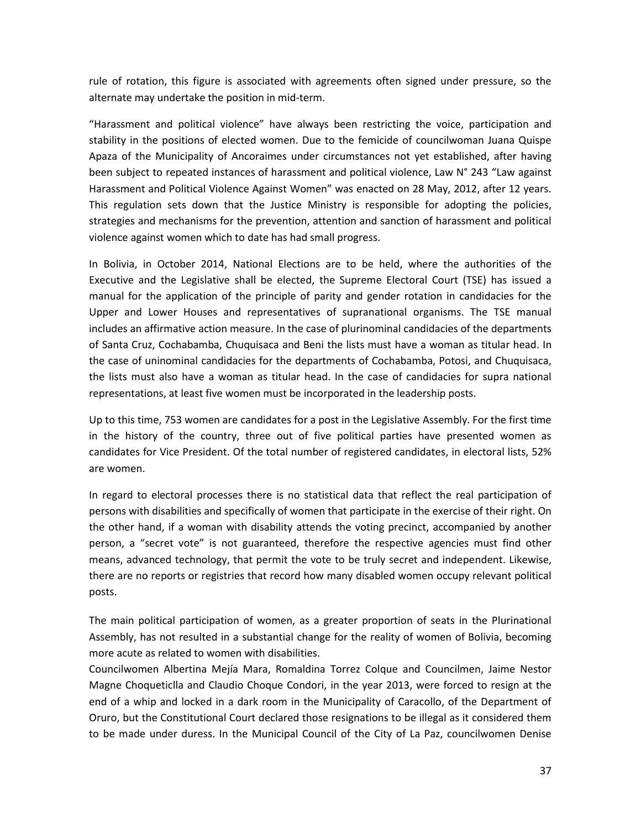rule of rotation, this figure is associated with agreements often signed under pressure, so the alternate may undertake the position in mid-term.

"Harassment and political violence" have always been restricting the voice, participation and stability in the positions of elected women. Due to the femicide of councilwoman Juana Quispe Apaza of the Municipality of Ancoraimes under circumstances not yet established, after having been subject to repeated instances of harassment and political violence, Law N° 243 "Law against Harassment and Political Violence Against Women" was enacted on 28 May, 2012, after 12 years. This regulation sets down that the Justice Ministry is responsible for adopting the policies, strategies and mechanisms for the prevention, attention and sanction of harassment and political violence against women which to date has had small progress.

In Bolivia, in October 2014, National Elections are to be held, where the authorities of the Executive and the Legislative shall be elected, the Supreme Electoral Court (TSE) has issued a manual for the application of the principle of parity and gender rotation in candidacies for the Upper and Lower Houses and representatives of supranational organisms. The TSE manual includes an affirmative action measure. In the case of plurinominal candidacies of the departments of Santa Cruz, Cochabamba, Chuquisaca and Beni the lists must have a woman as titular head. In the case of uninominal candidacies for the departments of Cochabamba, Potosi, and Chuquisaca, the lists must also have a woman as titular head. In the case of candidacies for supra national representations, at least five women must be incorporated in the leadership posts.

Up to this time, 753 women are candidates for a post in the Legislative Assembly. For the first time in the history of the country, three out of five political parties have presented women as candidates for Vice President. Of the total number of registered candidates, in electoral lists, 52% are women.

In regard to electoral processes there is no statistical data that reflect the real participation of persons with disabilities and specifically of women that participate in the exercise of their right. On the other hand, if a woman with disability attends the voting precinct, accompanied by another person, a "secret vote" is not guaranteed, therefore the respective agencies must find other means, advanced technology, that permit the vote to be truly secret and independent. Likewise, there are no reports or registries that record how many disabled women occupy relevant political posts.

The main political participation of women, as a greater proportion of seats in the Plurinational Assembly, has not resulted in a substantial change for the reality of women of Bolivia, becoming more acute as related to women with disabilities.

Councilwomen Albertina Mejía Mara, Romaldina Torrez Colque and Councilmen, Jaime Nestor Magne Choqueticlla and Claudio Choque Condori, in the year 2013, were forced to resign at the end of a whip and locked in a dark room in the Municipality of Caracollo, of the Department of Oruro, but the Constitutional Court declared those resignations to be illegal as it considered them to be made under duress. In the Municipal Council of the City of La Paz, councilwomen Denise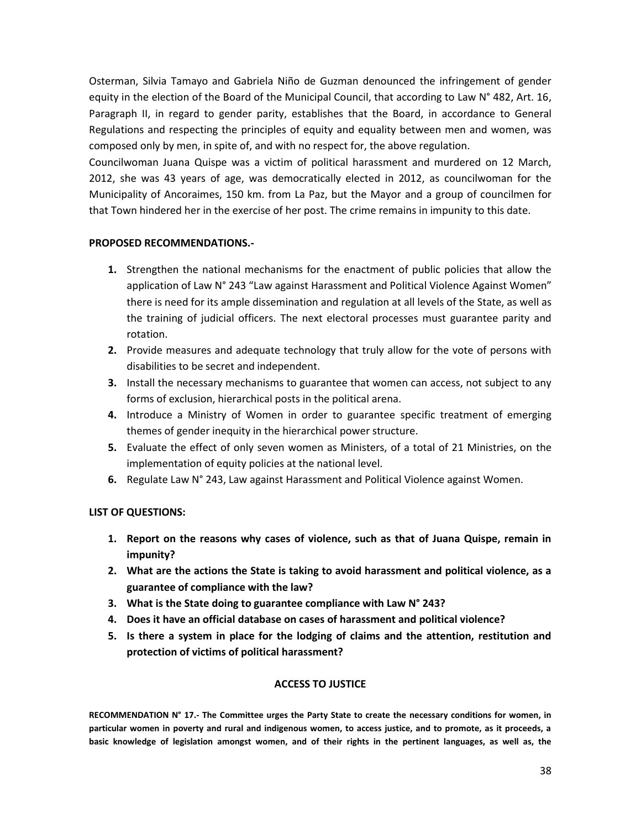Osterman, Silvia Tamayo and Gabriela Niño de Guzman denounced the infringement of gender equity in the election of the Board of the Municipal Council, that according to Law N° 482, Art. 16, Paragraph II, in regard to gender parity, establishes that the Board, in accordance to General Regulations and respecting the principles of equity and equality between men and women, was composed only by men, in spite of, and with no respect for, the above regulation.

Councilwoman Juana Quispe was a victim of political harassment and murdered on 12 March, 2012, she was 43 years of age, was democratically elected in 2012, as councilwoman for the Municipality of Ancoraimes, 150 km. from La Paz, but the Mayor and a group of councilmen for that Town hindered her in the exercise of her post. The crime remains in impunity to this date.

# **PROPOSED RECOMMENDATIONS.-**

- **1.** Strengthen the national mechanisms for the enactment of public policies that allow the application of Law N° 243 "Law against Harassment and Political Violence Against Women" there is need for its ample dissemination and regulation at all levels of the State, as well as the training of judicial officers. The next electoral processes must guarantee parity and rotation.
- **2.** Provide measures and adequate technology that truly allow for the vote of persons with disabilities to be secret and independent.
- **3.** Install the necessary mechanisms to guarantee that women can access, not subject to any forms of exclusion, hierarchical posts in the political arena.
- **4.** Introduce a Ministry of Women in order to guarantee specific treatment of emerging themes of gender inequity in the hierarchical power structure.
- **5.** Evaluate the effect of only seven women as Ministers, of a total of 21 Ministries, on the implementation of equity policies at the national level.
- **6.** Regulate Law N° 243, Law against Harassment and Political Violence against Women.

# **LIST OF QUESTIONS:**

- **1. Report on the reasons why cases of violence, such as that of Juana Quispe, remain in impunity?**
- **2. What are the actions the State is taking to avoid harassment and political violence, as a guarantee of compliance with the law?**
- **3. What is the State doing to guarantee compliance with Law N° 243?**
- **4. Does it have an official database on cases of harassment and political violence?**
- **5. Is there a system in place for the lodging of claims and the attention, restitution and protection of victims of political harassment?**

# **ACCESS TO JUSTICE**

**RECOMMENDATION N° 17.- The Committee urges the Party State to create the necessary conditions for women, in particular women in poverty and rural and indigenous women, to access justice, and to promote, as it proceeds, a basic knowledge of legislation amongst women, and of their rights in the pertinent languages, as well as, the**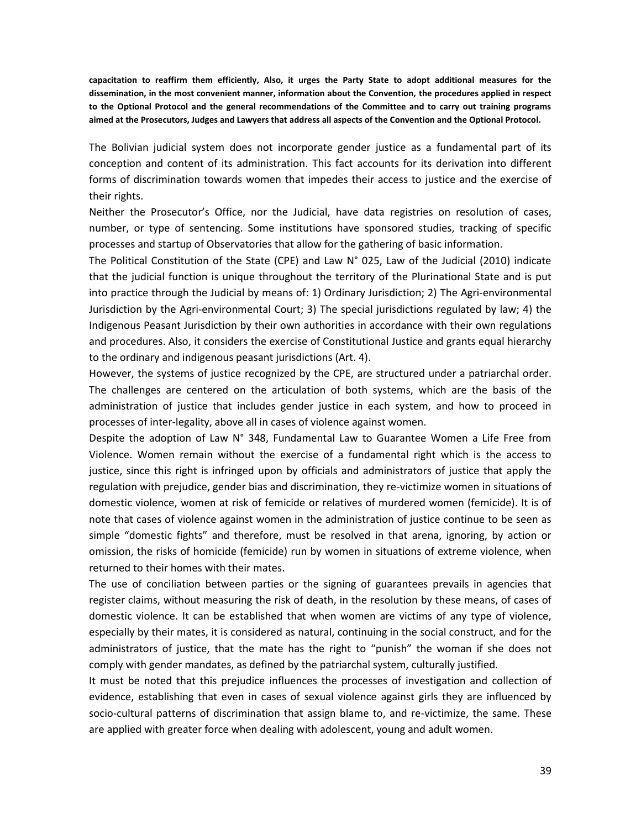**capacitation to reaffirm them efficiently, Also, it urges the Party State to adopt additional measures for the dissemination, in the most convenient manner, information about the Convention, the procedures applied in respect to the Optional Protocol and the general recommendations of the Committee and to carry out training programs aimed at the Prosecutors, Judges and Lawyers that address all aspects of the Convention and the Optional Protocol.**

The Bolivian judicial system does not incorporate gender justice as a fundamental part of its conception and content of its administration. This fact accounts for its derivation into different forms of discrimination towards women that impedes their access to justice and the exercise of their rights.

Neither the Prosecutor's Office, nor the Judicial, have data registries on resolution of cases, number, or type of sentencing. Some institutions have sponsored studies, tracking of specific processes and startup of Observatories that allow for the gathering of basic information.

The Political Constitution of the State (CPE) and Law N° 025, Law of the Judicial (2010) indicate that the judicial function is unique throughout the territory of the Plurinational State and is put into practice through the Judicial by means of: 1) Ordinary Jurisdiction; 2) The Agri-environmental Jurisdiction by the Agri-environmental Court; 3) The special jurisdictions regulated by law; 4) the Indigenous Peasant Jurisdiction by their own authorities in accordance with their own regulations and procedures. Also, it considers the exercise of Constitutional Justice and grants equal hierarchy to the ordinary and indigenous peasant jurisdictions (Art. 4).

However, the systems of justice recognized by the CPE, are structured under a patriarchal order. The challenges are centered on the articulation of both systems, which are the basis of the administration of justice that includes gender justice in each system, and how to proceed in processes of inter-legality, above all in cases of violence against women.

Despite the adoption of Law N° 348, Fundamental Law to Guarantee Women a Life Free from Violence. Women remain without the exercise of a fundamental right which is the access to justice, since this right is infringed upon by officials and administrators of justice that apply the regulation with prejudice, gender bias and discrimination, they re-victimize women in situations of domestic violence, women at risk of femicide or relatives of murdered women (femicide). It is of note that cases of violence against women in the administration of justice continue to be seen as simple "domestic fights" and therefore, must be resolved in that arena, ignoring, by action or omission, the risks of homicide (femicide) run by women in situations of extreme violence, when returned to their homes with their mates.

The use of conciliation between parties or the signing of guarantees prevails in agencies that register claims, without measuring the risk of death, in the resolution by these means, of cases of domestic violence. It can be established that when women are victims of any type of violence, especially by their mates, it is considered as natural, continuing in the social construct, and for the administrators of justice, that the mate has the right to "punish" the woman if she does not comply with gender mandates, as defined by the patriarchal system, culturally justified.

It must be noted that this prejudice influences the processes of investigation and collection of evidence, establishing that even in cases of sexual violence against girls they are influenced by socio-cultural patterns of discrimination that assign blame to, and re-victimize, the same. These are applied with greater force when dealing with adolescent, young and adult women.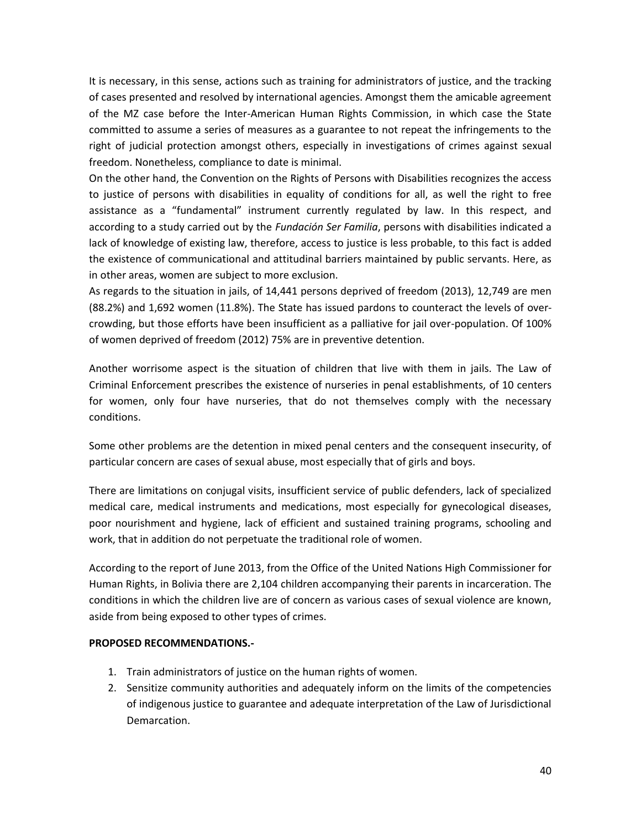It is necessary, in this sense, actions such as training for administrators of justice, and the tracking of cases presented and resolved by international agencies. Amongst them the amicable agreement of the MZ case before the Inter-American Human Rights Commission, in which case the State committed to assume a series of measures as a guarantee to not repeat the infringements to the right of judicial protection amongst others, especially in investigations of crimes against sexual freedom. Nonetheless, compliance to date is minimal.

On the other hand, the Convention on the Rights of Persons with Disabilities recognizes the access to justice of persons with disabilities in equality of conditions for all, as well the right to free assistance as a "fundamental" instrument currently regulated by law. In this respect, and according to a study carried out by the *Fundación Ser Familia*, persons with disabilities indicated a lack of knowledge of existing law, therefore, access to justice is less probable, to this fact is added the existence of communicational and attitudinal barriers maintained by public servants. Here, as in other areas, women are subject to more exclusion.

As regards to the situation in jails, of 14,441 persons deprived of freedom (2013), 12,749 are men (88.2%) and 1,692 women (11.8%). The State has issued pardons to counteract the levels of overcrowding, but those efforts have been insufficient as a palliative for jail over-population. Of 100% of women deprived of freedom (2012) 75% are in preventive detention.

Another worrisome aspect is the situation of children that live with them in jails. The Law of Criminal Enforcement prescribes the existence of nurseries in penal establishments, of 10 centers for women, only four have nurseries, that do not themselves comply with the necessary conditions.

Some other problems are the detention in mixed penal centers and the consequent insecurity, of particular concern are cases of sexual abuse, most especially that of girls and boys.

There are limitations on conjugal visits, insufficient service of public defenders, lack of specialized medical care, medical instruments and medications, most especially for gynecological diseases, poor nourishment and hygiene, lack of efficient and sustained training programs, schooling and work, that in addition do not perpetuate the traditional role of women.

According to the report of June 2013, from the Office of the United Nations High Commissioner for Human Rights, in Bolivia there are 2,104 children accompanying their parents in incarceration. The conditions in which the children live are of concern as various cases of sexual violence are known, aside from being exposed to other types of crimes.

# **PROPOSED RECOMMENDATIONS.-**

- 1. Train administrators of justice on the human rights of women.
- 2. Sensitize community authorities and adequately inform on the limits of the competencies of indigenous justice to guarantee and adequate interpretation of the Law of Jurisdictional Demarcation.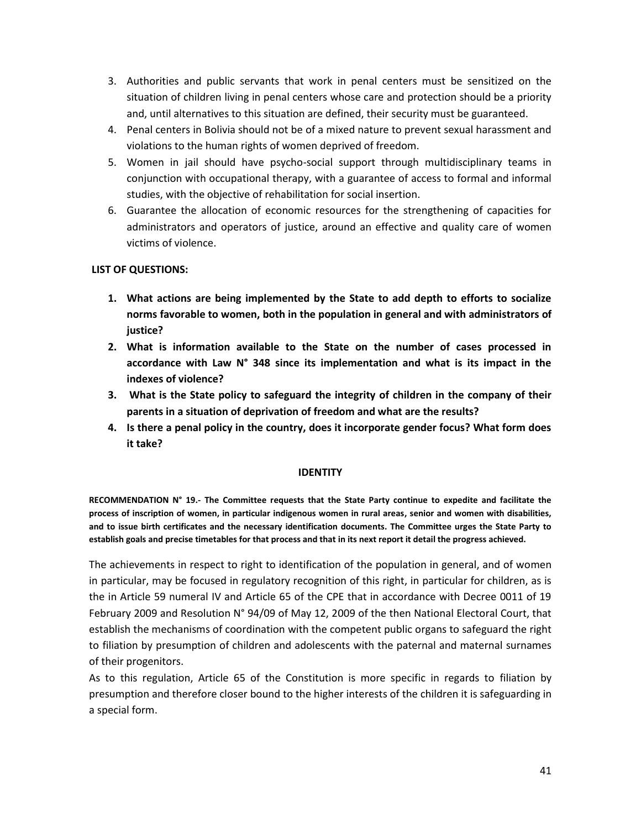- 3. Authorities and public servants that work in penal centers must be sensitized on the situation of children living in penal centers whose care and protection should be a priority and, until alternatives to this situation are defined, their security must be guaranteed.
- 4. Penal centers in Bolivia should not be of a mixed nature to prevent sexual harassment and violations to the human rights of women deprived of freedom.
- 5. Women in jail should have psycho-social support through multidisciplinary teams in conjunction with occupational therapy, with a guarantee of access to formal and informal studies, with the objective of rehabilitation for social insertion.
- 6. Guarantee the allocation of economic resources for the strengthening of capacities for administrators and operators of justice, around an effective and quality care of women victims of violence.

# **LIST OF QUESTIONS:**

- **1. What actions are being implemented by the State to add depth to efforts to socialize norms favorable to women, both in the population in general and with administrators of justice?**
- **2. What is information available to the State on the number of cases processed in accordance with Law N° 348 since its implementation and what is its impact in the indexes of violence?**
- **3. What is the State policy to safeguard the integrity of children in the company of their parents in a situation of deprivation of freedom and what are the results?**
- **4. Is there a penal policy in the country, does it incorporate gender focus? What form does it take?**

# **IDENTITY**

**RECOMMENDATION N° 19.- The Committee requests that the State Party continue to expedite and facilitate the process of inscription of women, in particular indigenous women in rural areas, senior and women with disabilities, and to issue birth certificates and the necessary identification documents. The Committee urges the State Party to establish goals and precise timetables for that process and that in its next report it detail the progress achieved.** 

The achievements in respect to right to identification of the population in general, and of women in particular, may be focused in regulatory recognition of this right, in particular for children, as is the in Article 59 numeral IV and Article 65 of the CPE that in accordance with Decree 0011 of 19 February 2009 and Resolution N° 94/09 of May 12, 2009 of the then National Electoral Court, that establish the mechanisms of coordination with the competent public organs to safeguard the right to filiation by presumption of children and adolescents with the paternal and maternal surnames of their progenitors.

As to this regulation, Article 65 of the Constitution is more specific in regards to filiation by presumption and therefore closer bound to the higher interests of the children it is safeguarding in a special form.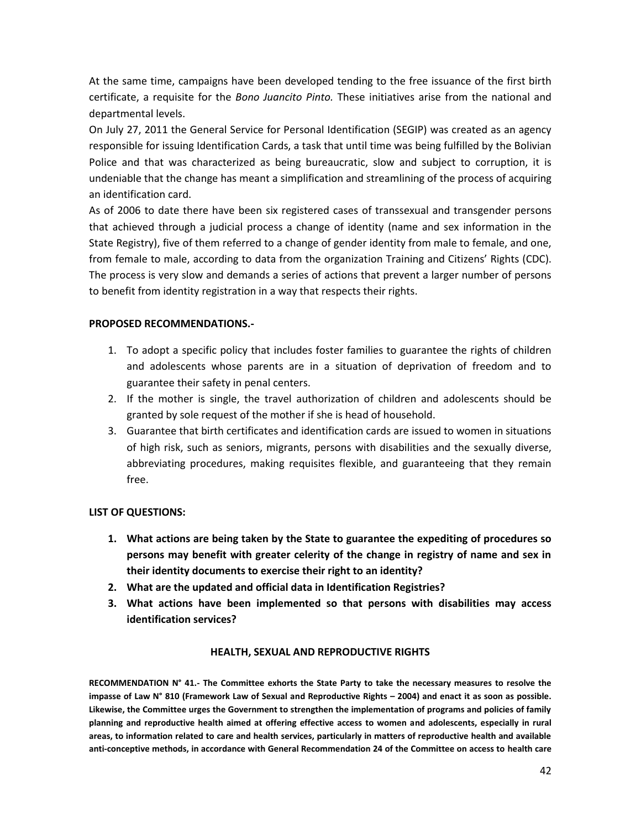At the same time, campaigns have been developed tending to the free issuance of the first birth certificate, a requisite for the *Bono Juancito Pinto.* These initiatives arise from the national and departmental levels.

On July 27, 2011 the General Service for Personal Identification (SEGIP) was created as an agency responsible for issuing Identification Cards, a task that until time was being fulfilled by the Bolivian Police and that was characterized as being bureaucratic, slow and subject to corruption, it is undeniable that the change has meant a simplification and streamlining of the process of acquiring an identification card.

As of 2006 to date there have been six registered cases of transsexual and transgender persons that achieved through a judicial process a change of identity (name and sex information in the State Registry), five of them referred to a change of gender identity from male to female, and one, from female to male, according to data from the organization Training and Citizens' Rights (CDC). The process is very slow and demands a series of actions that prevent a larger number of persons to benefit from identity registration in a way that respects their rights.

# **PROPOSED RECOMMENDATIONS.-**

- 1. To adopt a specific policy that includes foster families to guarantee the rights of children and adolescents whose parents are in a situation of deprivation of freedom and to guarantee their safety in penal centers.
- 2. If the mother is single, the travel authorization of children and adolescents should be granted by sole request of the mother if she is head of household.
- 3. Guarantee that birth certificates and identification cards are issued to women in situations of high risk, such as seniors, migrants, persons with disabilities and the sexually diverse, abbreviating procedures, making requisites flexible, and guaranteeing that they remain free.

# **LIST OF QUESTIONS:**

- **1. What actions are being taken by the State to guarantee the expediting of procedures so persons may benefit with greater celerity of the change in registry of name and sex in their identity documents to exercise their right to an identity?**
- **2. What are the updated and official data in Identification Registries?**
- **3. What actions have been implemented so that persons with disabilities may access identification services?**

# **HEALTH, SEXUAL AND REPRODUCTIVE RIGHTS**

**RECOMMENDATION N° 41.- The Committee exhorts the State Party to take the necessary measures to resolve the impasse of Law N° 810 (Framework Law of Sexual and Reproductive Rights – 2004) and enact it as soon as possible. Likewise, the Committee urges the Government to strengthen the implementation of programs and policies of family planning and reproductive health aimed at offering effective access to women and adolescents, especially in rural areas, to information related to care and health services, particularly in matters of reproductive health and available anti-conceptive methods, in accordance with General Recommendation 24 of the Committee on access to health care**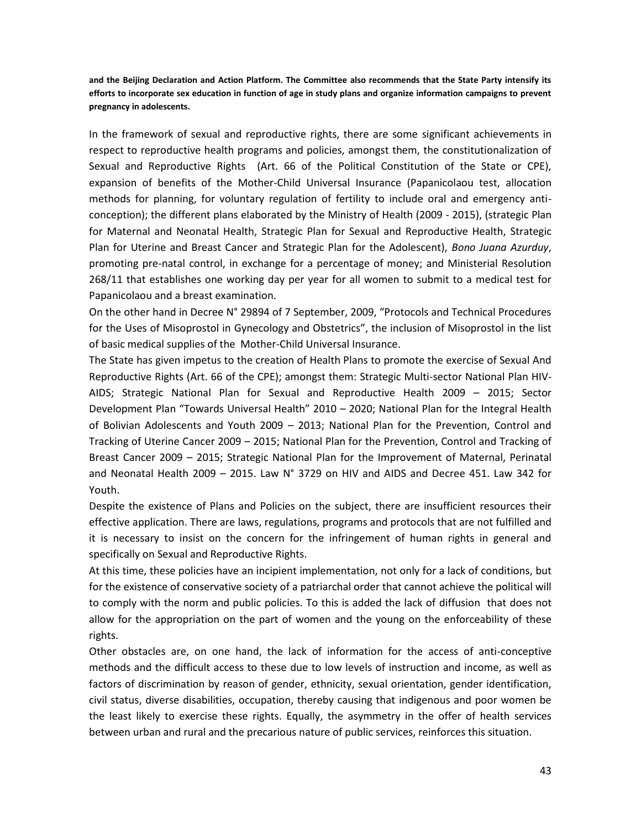**and the Beijing Declaration and Action Platform. The Committee also recommends that the State Party intensify its efforts to incorporate sex education in function of age in study plans and organize information campaigns to prevent pregnancy in adolescents.** 

In the framework of sexual and reproductive rights, there are some significant achievements in respect to reproductive health programs and policies, amongst them, the constitutionalization of Sexual and Reproductive Rights (Art. 66 of the Political Constitution of the State or CPE), expansion of benefits of the Mother-Child Universal Insurance (Papanicolaou test, allocation methods for planning, for voluntary regulation of fertility to include oral and emergency anticonception); the different plans elaborated by the Ministry of Health (2009 - 2015), (strategic Plan for Maternal and Neonatal Health, Strategic Plan for Sexual and Reproductive Health, Strategic Plan for Uterine and Breast Cancer and Strategic Plan for the Adolescent), *Bono Juana Azurduy*, promoting pre-natal control, in exchange for a percentage of money; and Ministerial Resolution 268/11 that establishes one working day per year for all women to submit to a medical test for Papanicolaou and a breast examination.

On the other hand in Decree N° 29894 of 7 September, 2009, "Protocols and Technical Procedures for the Uses of Misoprostol in Gynecology and Obstetrics", the inclusion of Misoprostol in the list of basic medical supplies of the Mother-Child Universal Insurance.

The State has given impetus to the creation of Health Plans to promote the exercise of Sexual And Reproductive Rights (Art. 66 of the CPE); amongst them: Strategic Multi-sector National Plan HIV-AIDS; Strategic National Plan for Sexual and Reproductive Health 2009 – 2015; Sector Development Plan "Towards Universal Health" 2010 – 2020; National Plan for the Integral Health of Bolivian Adolescents and Youth 2009 – 2013; National Plan for the Prevention, Control and Tracking of Uterine Cancer 2009 – 2015; National Plan for the Prevention, Control and Tracking of Breast Cancer 2009 – 2015; Strategic National Plan for the Improvement of Maternal, Perinatal and Neonatal Health 2009 – 2015. Law  $N^{\circ}$  3729 on HIV and AIDS and Decree 451. Law 342 for Youth.

Despite the existence of Plans and Policies on the subject, there are insufficient resources their effective application. There are laws, regulations, programs and protocols that are not fulfilled and it is necessary to insist on the concern for the infringement of human rights in general and specifically on Sexual and Reproductive Rights.

At this time, these policies have an incipient implementation, not only for a lack of conditions, but for the existence of conservative society of a patriarchal order that cannot achieve the political will to comply with the norm and public policies. To this is added the lack of diffusion that does not allow for the appropriation on the part of women and the young on the enforceability of these rights.

Other obstacles are, on one hand, the lack of information for the access of anti-conceptive methods and the difficult access to these due to low levels of instruction and income, as well as factors of discrimination by reason of gender, ethnicity, sexual orientation, gender identification, civil status, diverse disabilities, occupation, thereby causing that indigenous and poor women be the least likely to exercise these rights. Equally, the asymmetry in the offer of health services between urban and rural and the precarious nature of public services, reinforces this situation.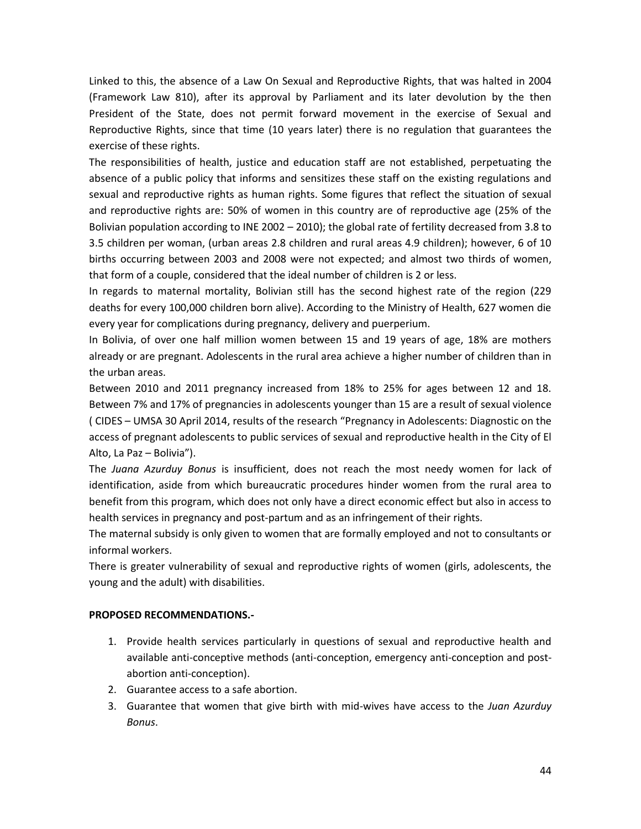Linked to this, the absence of a Law On Sexual and Reproductive Rights, that was halted in 2004 (Framework Law 810), after its approval by Parliament and its later devolution by the then President of the State, does not permit forward movement in the exercise of Sexual and Reproductive Rights, since that time (10 years later) there is no regulation that guarantees the exercise of these rights.

The responsibilities of health, justice and education staff are not established, perpetuating the absence of a public policy that informs and sensitizes these staff on the existing regulations and sexual and reproductive rights as human rights. Some figures that reflect the situation of sexual and reproductive rights are: 50% of women in this country are of reproductive age (25% of the Bolivian population according to INE 2002 – 2010); the global rate of fertility decreased from 3.8 to 3.5 children per woman, (urban areas 2.8 children and rural areas 4.9 children); however, 6 of 10 births occurring between 2003 and 2008 were not expected; and almost two thirds of women, that form of a couple, considered that the ideal number of children is 2 or less.

In regards to maternal mortality, Bolivian still has the second highest rate of the region (229 deaths for every 100,000 children born alive). According to the Ministry of Health, 627 women die every year for complications during pregnancy, delivery and puerperium.

In Bolivia, of over one half million women between 15 and 19 years of age, 18% are mothers already or are pregnant. Adolescents in the rural area achieve a higher number of children than in the urban areas.

Between 2010 and 2011 pregnancy increased from 18% to 25% for ages between 12 and 18. Between 7% and 17% of pregnancies in adolescents younger than 15 are a result of sexual violence ( CIDES – UMSA 30 April 2014, results of the research "Pregnancy in Adolescents: Diagnostic on the access of pregnant adolescents to public services of sexual and reproductive health in the City of El Alto, La Paz – Bolivia").

The *Juana Azurduy Bonus* is insufficient, does not reach the most needy women for lack of identification, aside from which bureaucratic procedures hinder women from the rural area to benefit from this program, which does not only have a direct economic effect but also in access to health services in pregnancy and post-partum and as an infringement of their rights.

The maternal subsidy is only given to women that are formally employed and not to consultants or informal workers.

There is greater vulnerability of sexual and reproductive rights of women (girls, adolescents, the young and the adult) with disabilities.

# **PROPOSED RECOMMENDATIONS.-**

- 1. Provide health services particularly in questions of sexual and reproductive health and available anti-conceptive methods (anti-conception, emergency anti-conception and postabortion anti-conception).
- 2. Guarantee access to a safe abortion.
- 3. Guarantee that women that give birth with mid-wives have access to the *Juan Azurduy Bonus*.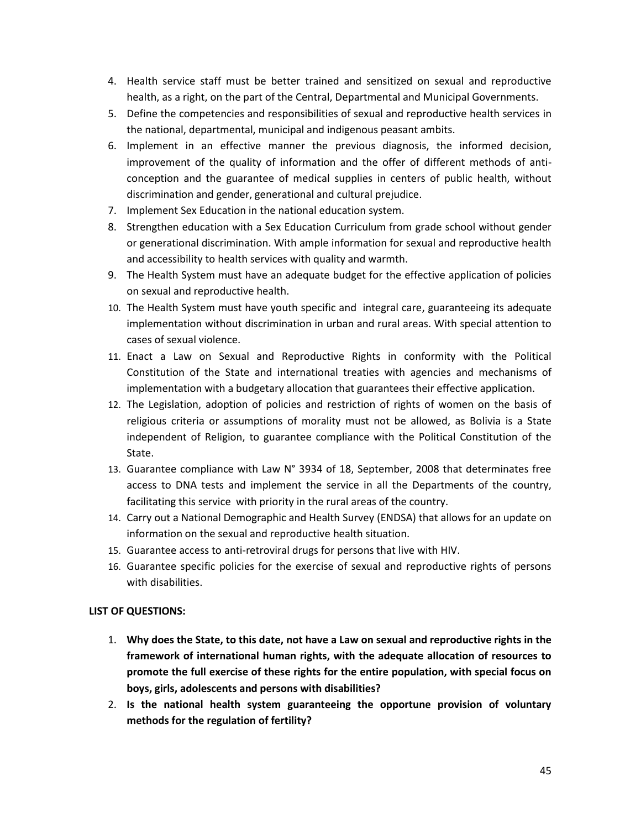- 4. Health service staff must be better trained and sensitized on sexual and reproductive health, as a right, on the part of the Central, Departmental and Municipal Governments.
- 5. Define the competencies and responsibilities of sexual and reproductive health services in the national, departmental, municipal and indigenous peasant ambits.
- 6. Implement in an effective manner the previous diagnosis, the informed decision, improvement of the quality of information and the offer of different methods of anticonception and the guarantee of medical supplies in centers of public health, without discrimination and gender, generational and cultural prejudice.
- 7. Implement Sex Education in the national education system.
- 8. Strengthen education with a Sex Education Curriculum from grade school without gender or generational discrimination. With ample information for sexual and reproductive health and accessibility to health services with quality and warmth.
- 9. The Health System must have an adequate budget for the effective application of policies on sexual and reproductive health.
- 10. The Health System must have youth specific and integral care, guaranteeing its adequate implementation without discrimination in urban and rural areas. With special attention to cases of sexual violence.
- 11. Enact a Law on Sexual and Reproductive Rights in conformity with the Political Constitution of the State and international treaties with agencies and mechanisms of implementation with a budgetary allocation that guarantees their effective application.
- 12. The Legislation, adoption of policies and restriction of rights of women on the basis of religious criteria or assumptions of morality must not be allowed, as Bolivia is a State independent of Religion, to guarantee compliance with the Political Constitution of the State.
- 13. Guarantee compliance with Law N° 3934 of 18, September, 2008 that determinates free access to DNA tests and implement the service in all the Departments of the country, facilitating this service with priority in the rural areas of the country.
- 14. Carry out a National Demographic and Health Survey (ENDSA) that allows for an update on information on the sexual and reproductive health situation.
- 15. Guarantee access to anti-retroviral drugs for persons that live with HIV.
- 16. Guarantee specific policies for the exercise of sexual and reproductive rights of persons with disabilities.

# **LIST OF QUESTIONS:**

- 1. **Why does the State, to this date, not have a Law on sexual and reproductive rights in the framework of international human rights, with the adequate allocation of resources to promote the full exercise of these rights for the entire population, with special focus on boys, girls, adolescents and persons with disabilities?**
- 2. **Is the national health system guaranteeing the opportune provision of voluntary methods for the regulation of fertility?**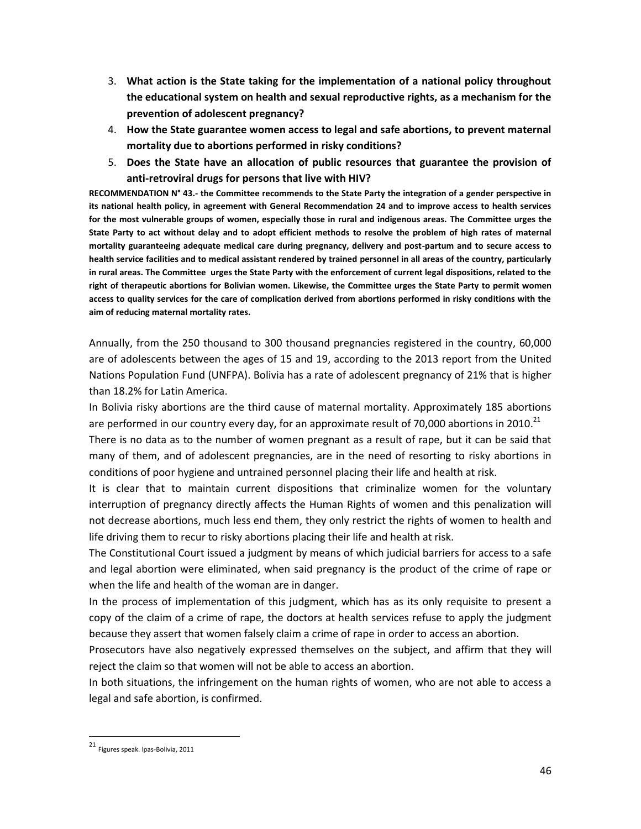- 3. **What action is the State taking for the implementation of a national policy throughout the educational system on health and sexual reproductive rights, as a mechanism for the prevention of adolescent pregnancy?**
- 4. **How the State guarantee women access to legal and safe abortions, to prevent maternal mortality due to abortions performed in risky conditions?**
- 5. **Does the State have an allocation of public resources that guarantee the provision of anti-retroviral drugs for persons that live with HIV?**

**RECOMMENDATION N° 43.- the Committee recommends to the State Party the integration of a gender perspective in its national health policy, in agreement with General Recommendation 24 and to improve access to health services for the most vulnerable groups of women, especially those in rural and indigenous areas. The Committee urges the State Party to act without delay and to adopt efficient methods to resolve the problem of high rates of maternal mortality guaranteeing adequate medical care during pregnancy, delivery and post-partum and to secure access to health service facilities and to medical assistant rendered by trained personnel in all areas of the country, particularly in rural areas. The Committee urges the State Party with the enforcement of current legal dispositions, related to the right of therapeutic abortions for Bolivian women. Likewise, the Committee urges the State Party to permit women access to quality services for the care of complication derived from abortions performed in risky conditions with the aim of reducing maternal mortality rates.**

Annually, from the 250 thousand to 300 thousand pregnancies registered in the country, 60,000 are of adolescents between the ages of 15 and 19, according to the 2013 report from the United Nations Population Fund (UNFPA). Bolivia has a rate of adolescent pregnancy of 21% that is higher than 18.2% for Latin America.

In Bolivia risky abortions are the third cause of maternal mortality. Approximately 185 abortions are performed in our country every day, for an approximate result of 70,000 abortions in 2010.<sup>21</sup>

There is no data as to the number of women pregnant as a result of rape, but it can be said that many of them, and of adolescent pregnancies, are in the need of resorting to risky abortions in conditions of poor hygiene and untrained personnel placing their life and health at risk.

It is clear that to maintain current dispositions that criminalize women for the voluntary interruption of pregnancy directly affects the Human Rights of women and this penalization will not decrease abortions, much less end them, they only restrict the rights of women to health and life driving them to recur to risky abortions placing their life and health at risk.

The Constitutional Court issued a judgment by means of which judicial barriers for access to a safe and legal abortion were eliminated, when said pregnancy is the product of the crime of rape or when the life and health of the woman are in danger.

In the process of implementation of this judgment, which has as its only requisite to present a copy of the claim of a crime of rape, the doctors at health services refuse to apply the judgment because they assert that women falsely claim a crime of rape in order to access an abortion.

Prosecutors have also negatively expressed themselves on the subject, and affirm that they will reject the claim so that women will not be able to access an abortion.

In both situations, the infringement on the human rights of women, who are not able to access a legal and safe abortion, is confirmed.

 21 Figures speak. lpas-Bolivia, 2011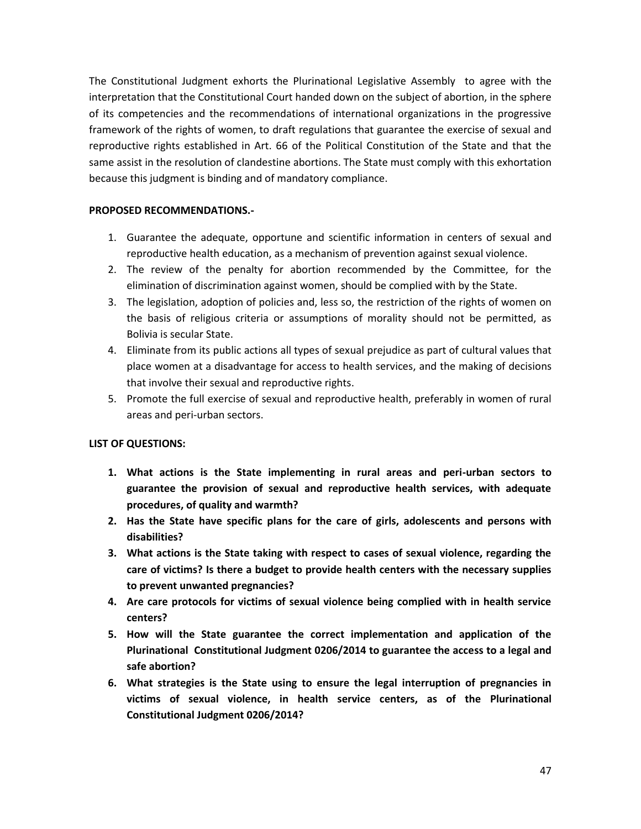The Constitutional Judgment exhorts the Plurinational Legislative Assembly to agree with the interpretation that the Constitutional Court handed down on the subject of abortion, in the sphere of its competencies and the recommendations of international organizations in the progressive framework of the rights of women, to draft regulations that guarantee the exercise of sexual and reproductive rights established in Art. 66 of the Political Constitution of the State and that the same assist in the resolution of clandestine abortions. The State must comply with this exhortation because this judgment is binding and of mandatory compliance.

# **PROPOSED RECOMMENDATIONS.-**

- 1. Guarantee the adequate, opportune and scientific information in centers of sexual and reproductive health education, as a mechanism of prevention against sexual violence.
- 2. The review of the penalty for abortion recommended by the Committee, for the elimination of discrimination against women, should be complied with by the State.
- 3. The legislation, adoption of policies and, less so, the restriction of the rights of women on the basis of religious criteria or assumptions of morality should not be permitted, as Bolivia is secular State.
- 4. Eliminate from its public actions all types of sexual prejudice as part of cultural values that place women at a disadvantage for access to health services, and the making of decisions that involve their sexual and reproductive rights.
- 5. Promote the full exercise of sexual and reproductive health, preferably in women of rural areas and peri-urban sectors.

# **LIST OF QUESTIONS:**

- **1. What actions is the State implementing in rural areas and peri-urban sectors to guarantee the provision of sexual and reproductive health services, with adequate procedures, of quality and warmth?**
- **2. Has the State have specific plans for the care of girls, adolescents and persons with disabilities?**
- **3. What actions is the State taking with respect to cases of sexual violence, regarding the care of victims? Is there a budget to provide health centers with the necessary supplies to prevent unwanted pregnancies?**
- **4. Are care protocols for victims of sexual violence being complied with in health service centers?**
- **5. How will the State guarantee the correct implementation and application of the Plurinational Constitutional Judgment 0206/2014 to guarantee the access to a legal and safe abortion?**
- **6. What strategies is the State using to ensure the legal interruption of pregnancies in victims of sexual violence, in health service centers, as of the Plurinational Constitutional Judgment 0206/2014?**